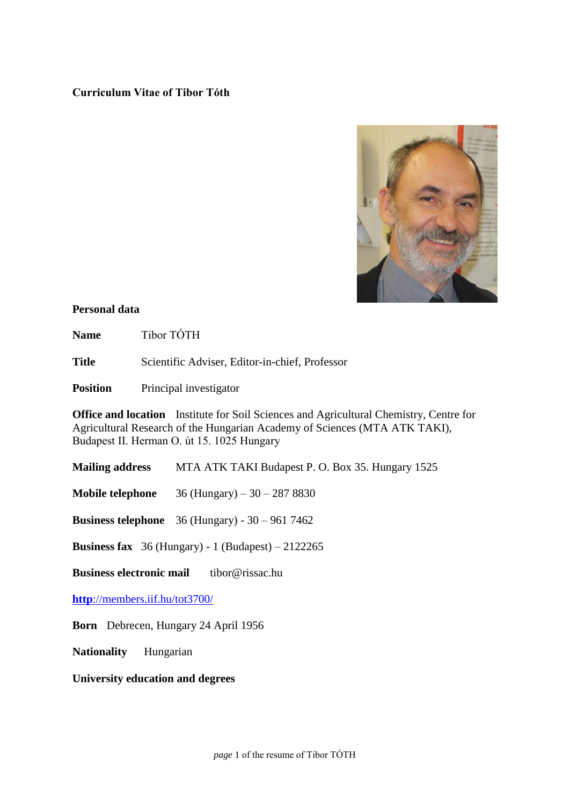# **Curriculum Vitae of Tibor Tóth**



## **Personal data**

Name Tibor TÓTH

**Title** Scientific Adviser, Editor-in-chief, Professor

**Position** Principal investigator

**Office and location** Institute for Soil Sciences and Agricultural Chemistry, Centre for Agricultural Research of the Hungarian Academy of Sciences (MTA ATK TAKI), Budapest II. Herman O. út 15. 1025 Hungary

**Mailing address** MTA ATK TAKI Budapest P. O. Box 35. Hungary 1525

**Mobile telephone** 36 (Hungary) – 30 – 287 8830

**Business telephone** 36 (Hungary) - 30 – 961 7462

**Business fax** 36 (Hungary) - 1 (Budapest) – 2122265

**Business electronic mail** tibor@rissac.hu

**http**[://members.iif.hu/tot3700/](http://members.iif.hu/tot3700/)

**Born** Debrecen, Hungary 24 April 1956

**Nationality** Hungarian

**University education and degrees**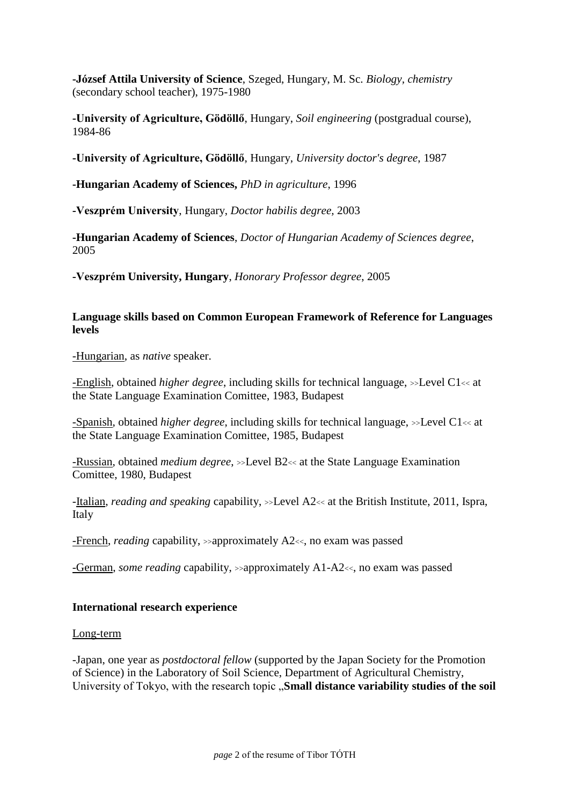**-József Attila University of Science**, Szeged, Hungary, M. Sc. *Biology, chemistry* (secondary school teacher), 1975-1980

**-University of Agriculture, Gödöllő**, Hungary, *Soil engineering* (postgradual course), 1984-86

**-University of Agriculture, Gödöllő**, Hungary, *University doctor's degree*, 1987

**-Hungarian Academy of Sciences,** *PhD in agriculture*, 1996

**-Veszprém University**, Hungary, *Doctor habilis degree,* 2003

**-Hungarian Academy of Sciences**, *Doctor of Hungarian Academy of Sciences degree*, 2005

**-Veszprém University, Hungary**, *Honorary Professor degree*, 2005

# **Language skills based on Common European Framework of Reference for Languages levels**

-Hungarian, as *native* speaker.

-English, obtained *higher degree*, including skills for technical language, >>Level C1<< at the State Language Examination Comittee, 1983, Budapest

-Spanish, obtained *higher degree*, including skills for technical language, >>Level C1<< at the State Language Examination Comittee, 1985, Budapest

-Russian, obtained *medium degree*, >>Level B2<< at the State Language Examination Comittee, 1980, Budapest

-Italian, *reading and speaking* capability, >>Level A2<< at the British Institute, 2011, Ispra, Italy

-French, *reading* capability, >>approximately A2<<, no exam was passed

-German, *some reading* capability, >>approximately A1-A2<<, no exam was passed

# **International research experience**

## Long-term

-Japan, one year as *postdoctoral fellow* (supported by the Japan Society for the Promotion of Science) in the Laboratory of Soil Science, Department of Agricultural Chemistry, University of Tokyo, with the research topic .**Small distance variability studies of the soil**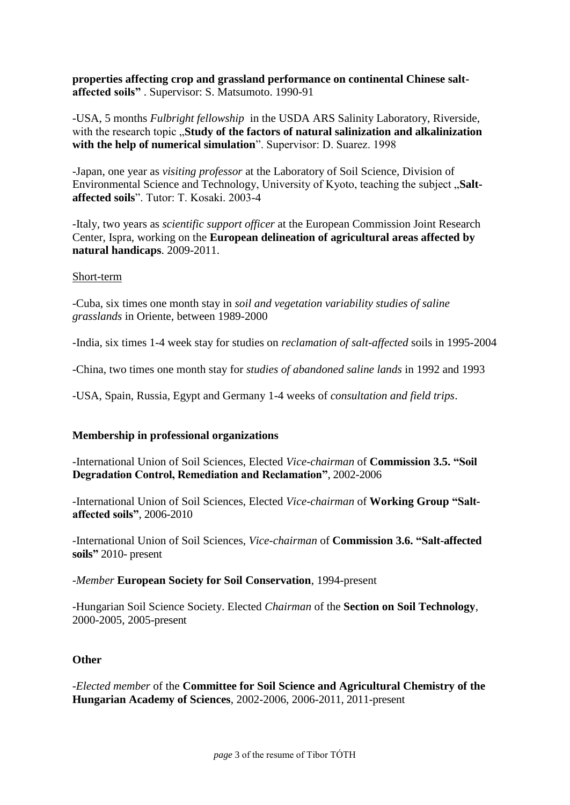**properties affecting crop and grassland performance on continental Chinese saltaffected soils"** . Supervisor: S. Matsumoto. 1990-91

-USA, 5 months *Fulbright fellowship* in the USDA ARS Salinity Laboratory, Riverside, with the research topic **..Study of the factors of natural salinization and alkalinization with the help of numerical simulation**". Supervisor: D. Suarez. 1998

-Japan, one year as *visiting professor* at the Laboratory of Soil Science, Division of Environmental Science and Technology, University of Kyoto, teaching the subject "Salt**affected soils**". Tutor: T. Kosaki. 2003-4

-Italy, two years as *scientific support officer* at the European Commission Joint Research Center, Ispra, working on the **European delineation of agricultural areas affected by natural handicaps**. 2009-2011.

#### Short-term

-Cuba, six times one month stay in *soil and vegetation variability studies of saline grasslands* in Oriente, between 1989-2000

-India, six times 1-4 week stay for studies on *reclamation of salt-affected* soils in 1995-2004

-China, two times one month stay for *studies of abandoned saline lands* in 1992 and 1993

-USA, Spain, Russia, Egypt and Germany 1-4 weeks of *consultation and field trips*.

## **Membership in professional organizations**

-International Union of Soil Sciences, Elected *Vice-chairman* of **Commission 3.5. "Soil Degradation Control, Remediation and Reclamation"**, 2002-2006

-International Union of Soil Sciences, Elected *Vice-chairman* of **Working Group "Saltaffected soils"**, 2006-2010

-International Union of Soil Sciences, *Vice-chairman* of **Commission 3.6. "Salt-affected soils"** 2010- present

*-Member* **European Society for Soil Conservation**, 1994-present

-Hungarian Soil Science Society. Elected *Chairman* of the **Section on Soil Technology**, 2000-2005, 2005-present

## **Other**

*-Elected member* of the **Committee for Soil Science and Agricultural Chemistry of the Hungarian Academy of Sciences**, 2002-2006, 2006-2011, 2011-present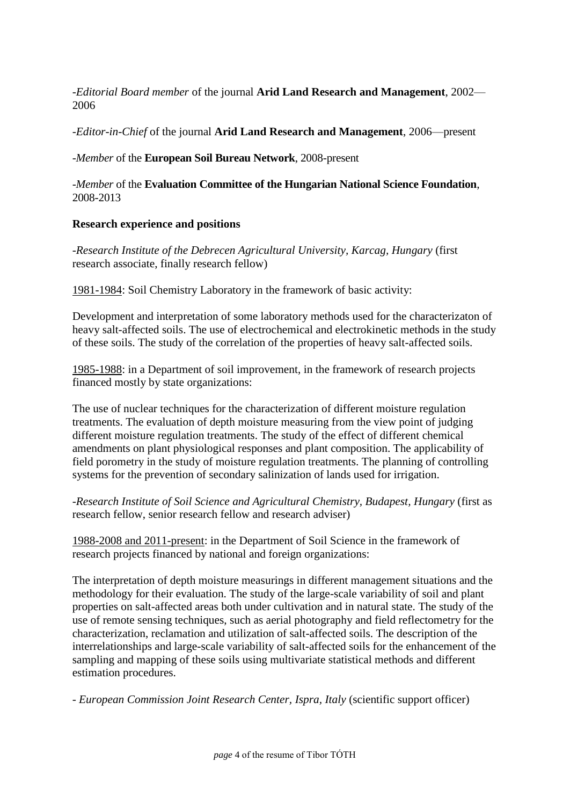*-Editorial Board member* of the journal **Arid Land Research and Management**, 2002— 2006

*-Editor-in-Chief* of the journal **Arid Land Research and Management**, 2006—present

-*Member* of the **European Soil Bureau Network**, 2008-present

-*Member* of the **Evaluation Committee of the Hungarian National Science Foundation**, 2008-2013

# **Research experience and positions**

*-Research Institute of the Debrecen Agricultural University, Karcag, Hungary* (first research associate, finally research fellow)

1981-1984: Soil Chemistry Laboratory in the framework of basic activity:

Development and interpretation of some laboratory methods used for the characterizaton of heavy salt-affected soils. The use of electrochemical and electrokinetic methods in the study of these soils. The study of the correlation of the properties of heavy salt-affected soils.

1985-1988: in a Department of soil improvement, in the framework of research projects financed mostly by state organizations:

The use of nuclear techniques for the characterization of different moisture regulation treatments. The evaluation of depth moisture measuring from the view point of judging different moisture regulation treatments. The study of the effect of different chemical amendments on plant physiological responses and plant composition. The applicability of field porometry in the study of moisture regulation treatments. The planning of controlling systems for the prevention of secondary salinization of lands used for irrigation.

*-Research Institute of Soil Science and Agricultural Chemistry, Budapest, Hungary* (first as research fellow, senior research fellow and research adviser)

1988-2008 and 2011-present: in the Department of Soil Science in the framework of research projects financed by national and foreign organizations:

The interpretation of depth moisture measurings in different management situations and the methodology for their evaluation. The study of the large-scale variability of soil and plant properties on salt-affected areas both under cultivation and in natural state. The study of the use of remote sensing techniques, such as aerial photography and field reflectometry for the characterization, reclamation and utilization of salt-affected soils. The description of the interrelationships and large-scale variability of salt-affected soils for the enhancement of the sampling and mapping of these soils using multivariate statistical methods and different estimation procedures.

*- European Commission Joint Research Center, Ispra, Italy* (scientific support officer)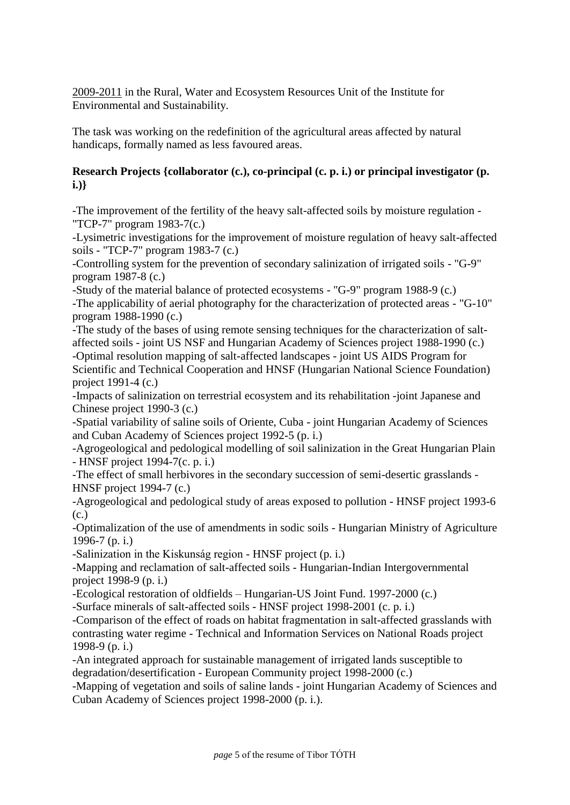2009-2011 in the Rural, Water and Ecosystem Resources Unit of the Institute for Environmental and Sustainability.

The task was working on the redefinition of the agricultural areas affected by natural handicaps, formally named as less favoured areas.

# **Research Projects {collaborator (c.), co-principal (c. p. i.) or principal investigator (p. i.)}**

-The improvement of the fertility of the heavy salt-affected soils by moisture regulation - "TCP-7" program 1983-7(c.)

-Lysimetric investigations for the improvement of moisture regulation of heavy salt-affected soils - "TCP-7" program 1983-7 (c.)

-Controlling system for the prevention of secondary salinization of irrigated soils - "G-9" program 1987-8 (c.)

-Study of the material balance of protected ecosystems - "G-9" program 1988-9 (c.) -The applicability of aerial photography for the characterization of protected areas - "G-10" program 1988-1990 (c.)

-The study of the bases of using remote sensing techniques for the characterization of saltaffected soils - joint US NSF and Hungarian Academy of Sciences project 1988-1990 (c.) -Optimal resolution mapping of salt-affected landscapes - joint US AIDS Program for Scientific and Technical Cooperation and HNSF (Hungarian National Science Foundation)

project 1991-4 (c.)

-Impacts of salinization on terrestrial ecosystem and its rehabilitation -joint Japanese and Chinese project 1990-3 (c.)

-Spatial variability of saline soils of Oriente, Cuba - joint Hungarian Academy of Sciences and Cuban Academy of Sciences project 1992-5 (p. i.)

-Agrogeological and pedological modelling of soil salinization in the Great Hungarian Plain - HNSF project 1994-7(c. p. i.)

-The effect of small herbivores in the secondary succession of semi-desertic grasslands - HNSF project 1994-7 (c.)

-Agrogeological and pedological study of areas exposed to pollution - HNSF project 1993-6 (c.)

-Optimalization of the use of amendments in sodic soils - Hungarian Ministry of Agriculture 1996-7 (p. i.)

-Salinization in the Kiskunság region - HNSF project (p. i.)

-Mapping and reclamation of salt-affected soils - Hungarian-Indian Intergovernmental project 1998-9 (p. i.)

-Ecological restoration of oldfields – Hungarian-US Joint Fund. 1997-2000 (c.)

-Surface minerals of salt-affected soils - HNSF project 1998-2001 (c. p. i.)

-Comparison of the effect of roads on habitat fragmentation in salt-affected grasslands with contrasting water regime - Technical and Information Services on National Roads project 1998-9 (p. i.)

-An integrated approach for sustainable management of irrigated lands susceptible to degradation/desertification - European Community project 1998-2000 (c.)

-Mapping of vegetation and soils of saline lands - joint Hungarian Academy of Sciences and Cuban Academy of Sciences project 1998-2000 (p. i.).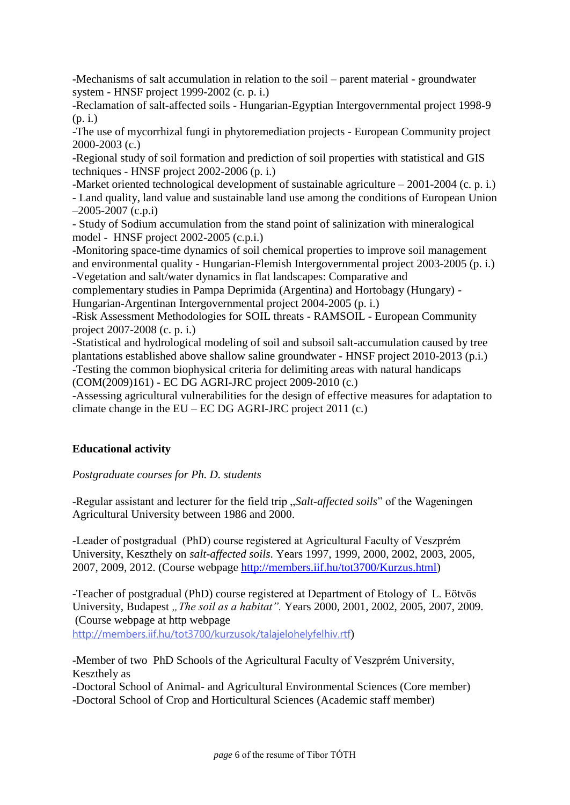-Mechanisms of salt accumulation in relation to the soil – parent material - groundwater system - HNSF project 1999-2002 (c. p. i.)

-Reclamation of salt-affected soils - Hungarian-Egyptian Intergovernmental project 1998-9 (p. i.)

-The use of mycorrhizal fungi in phytoremediation projects - European Community project 2000-2003 (c.)

-Regional study of soil formation and prediction of soil properties with statistical and GIS techniques - HNSF project 2002-2006 (p. i.)

-Market oriented technological development of sustainable agriculture – 2001-2004 (c. p. i.)

- Land quality, land value and sustainable land use among the conditions of European Union  $-2005-2007$  (c.p.i)

- Study of Sodium accumulation from the stand point of salinization with mineralogical model - HNSF project 2002-2005 (c.p.i.)

-Monitoring space-time dynamics of soil chemical properties to improve soil management and environmental quality - Hungarian-Flemish Intergovernmental project 2003-2005 (p. i.)

-Vegetation and salt/water dynamics in flat landscapes: Comparative and

complementary studies in Pampa Deprimida (Argentina) and Hortobagy (Hungary) - Hungarian-Argentinan Intergovernmental project 2004-2005 (p. i.)

-Risk Assessment Methodologies for SOIL threats - RAMSOIL - European Community project 2007-2008 (c. p. i.)

-Statistical and hydrological modeling of soil and subsoil salt-accumulation caused by tree plantations established above shallow saline groundwater - HNSF project 2010-2013 (p.i.) -Testing the common biophysical criteria for delimiting areas with natural handicaps (COM(2009)161) - EC DG AGRI-JRC project 2009-2010 (c.)

-Assessing agricultural vulnerabilities for the design of effective measures for adaptation to climate change in the  $EU - EC DG AGRI-IRC project 2011 (c.)$ 

# **Educational activity**

*Postgraduate courses for Ph. D. students*

-Regular assistant and lecturer for the field trip "*Salt-affected soils*" of the Wageningen Agricultural University between 1986 and 2000.

-Leader of postgradual (PhD) course registered at Agricultural Faculty of Veszprém University, Keszthely on *salt-affected soils*. Years 1997, 1999, 2000, 2002, 2003, 2005, 2007, 2009, 2012. (Course webpage [http://members.iif.hu/tot3700/Kurzus.html\)](http://members.iif.hu/tot3700/Kurzus.html)

-Teacher of postgradual (PhD) course registered at Department of Etology of L. Eötvös University, Budapest *"The soil as a habitat"*. Years 2000, 2001, 2002, 2005, 2007, 2009. (Course webpage at http webpage <http://members.iif.hu/tot3700/kurzusok/talajelohelyfelhiv.rtf>)

-Member of two PhD Schools of the Agricultural Faculty of Veszprém University, Keszthely as

-Doctoral School of Animal- [and Agricultural Environmental Sciences](http://www.doktori.hu/index.php?menuid=191&lang=EN&di_ID=97) (Core member) [-Doctoral School of Crop and Horticultural Sciences](http://www.doktori.hu/index.php?menuid=191&lang=EN&di_ID=99) (Academic staff member)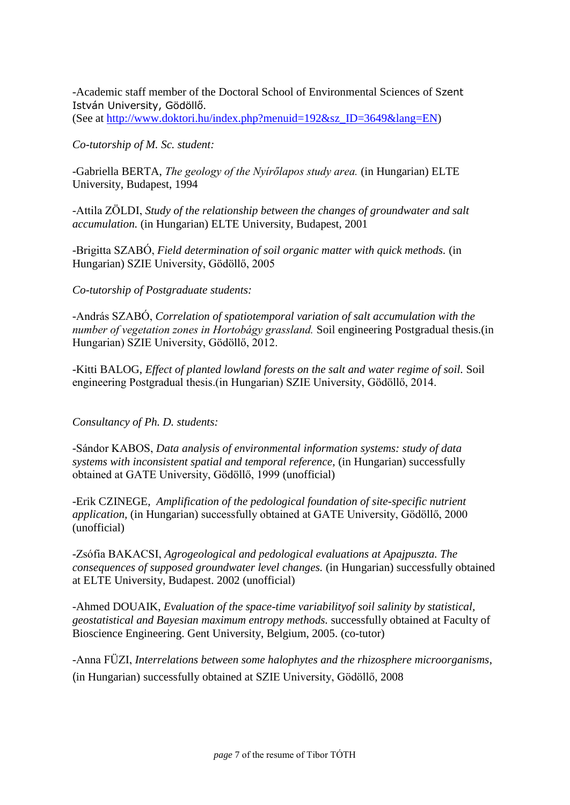-Academic staff member of the [Doctoral School of Environmental Sciences](http://www.doktori.hu/index.php?menuid=191&lang=EN&di_ID=157) of Szent István University, Gödöllő. (See at [http://www.doktori.hu/index.php?menuid=192&sz\\_ID=3649&lang=EN\)](http://www.doktori.hu/index.php?menuid=192&sz_ID=3649&lang=EN)

*Co-tutorship of M. Sc. student:*

-Gabriella BERTA, *The geology of the Nyírőlapos study area.* (in Hungarian) ELTE University, Budapest, 1994

-Attila ZÖLDI, *Study of the relationship between the changes of groundwater and salt accumulation.* (in Hungarian) ELTE University, Budapest, 2001

-Brigitta SZABÓ, *Field determination of soil organic matter with quick methods.* (in Hungarian) SZIE University, Gödöllő, 2005

## *Co-tutorship of Postgraduate students:*

-András SZABÓ, *Correlation of spatiotemporal variation of salt accumulation with the number of vegetation zones in Hortobágy grassland.* Soil engineering Postgradual thesis.(in Hungarian) SZIE University, Gödöllő, 2012.

-Kitti BALOG, *Effect of planted lowland forests on the salt and water regime of soil.* Soil engineering Postgradual thesis.(in Hungarian) SZIE University, Gödöllő, 2014.

*Consultancy of Ph. D. students:*

-Sándor KABOS, *Data analysis of environmental information systems: study of data systems with inconsistent spatial and temporal reference*, (in Hungarian) successfully obtained at GATE University, Gödöllő, 1999 (unofficial)

-Erik CZINEGE, *Amplification of the pedological foundation of site-specific nutrient application,* (in Hungarian) successfully obtained at GATE University, Gödöllő, 2000 (unofficial)

-Zsófia BAKACSI, *Agrogeological and pedological evaluations at Apajpuszta. The consequences of supposed groundwater level changes.* (in Hungarian) successfully obtained at ELTE University, Budapest. 2002 (unofficial)

-Ahmed DOUAIK, *Evaluation of the space-time variabilityof soil salinity by statistical, geostatistical and Bayesian maximum entropy methods.* successfully obtained at Faculty of Bioscience Engineering. Gent University, Belgium, 2005. (co-tutor)

-Anna FÜZI, *Interrelations between some halophytes and the rhizosphere microorganisms*, (in Hungarian) successfully obtained at SZIE University, Gödöllő, 2008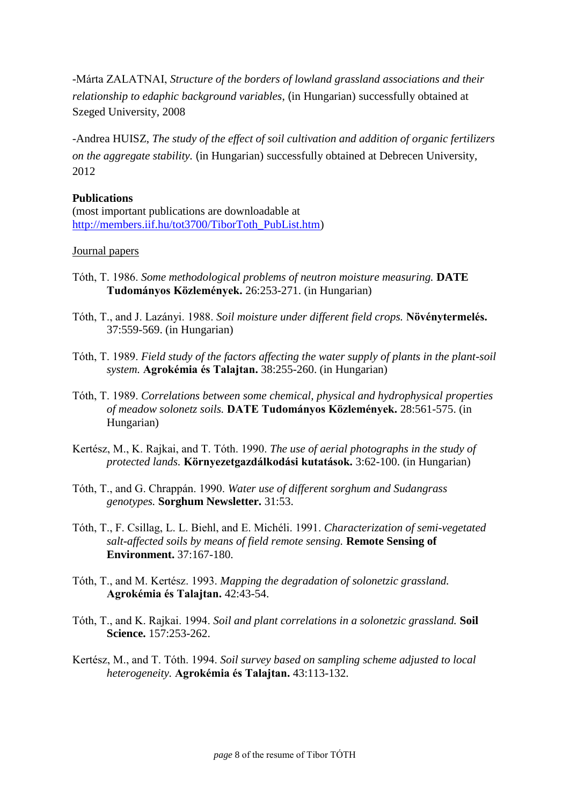-Márta ZALATNAI, *Structure of the borders of lowland grassland associations and their relationship to edaphic background variables*, (in Hungarian) successfully obtained at Szeged University, 2008

-Andrea HUISZ, *The study of the effect of soil cultivation and addition of organic fertilizers on the aggregate stability.* (in Hungarian) successfully obtained at Debrecen University, 2012

## **Publications**

(most important publications are downloadable at [http://members.iif.hu/tot3700/TiborToth\\_PubList.htm\)](http://members.iif.hu/tot3700/TiborToth_PubList.htm)

#### Journal papers

- Tóth, T. 1986. *Some methodological problems of neutron moisture measuring.* **DATE Tudományos Közlemények.** 26:253-271. (in Hungarian)
- Tóth, T., and J. Lazányi. 1988. *Soil moisture under different field crops.* **Növénytermelés.** 37:559-569. (in Hungarian)
- Tóth, T. 1989. *Field study of the factors affecting the water supply of plants in the plant-soil system.* **Agrokémia és Talajtan.** 38:255-260. (in Hungarian)
- Tóth, T. 1989. *Correlations between some chemical, physical and hydrophysical properties of meadow solonetz soils.* **DATE Tudományos Közlemények.** 28:561-575. (in Hungarian)
- Kertész, M., K. Rajkai, and T. Tóth. 1990. *The use of aerial photographs in the study of protected lands.* **Környezetgazdálkodási kutatások.** 3:62-100. (in Hungarian)
- Tóth, T., and G. Chrappán. 1990. *Water use of different sorghum and Sudangrass genotypes.* **Sorghum Newsletter.** 31:53.
- Tóth, T., F. Csillag, L. L. Biehl, and E. Michéli. 1991. *Characterization of semi-vegetated salt-affected soils by means of field remote sensing.* **Remote Sensing of Environment.** 37:167-180.
- Tóth, T., and M. Kertész. 1993. *Mapping the degradation of solonetzic grassland.* **Agrokémia és Talajtan.** 42:43-54.
- Tóth, T., and K. Rajkai. 1994. *Soil and plant correlations in a solonetzic grassland.* **Soil Science.** 157:253-262.
- Kertész, M., and T. Tóth. 1994. *Soil survey based on sampling scheme adjusted to local heterogeneity.* **Agrokémia és Talajtan.** 43:113-132.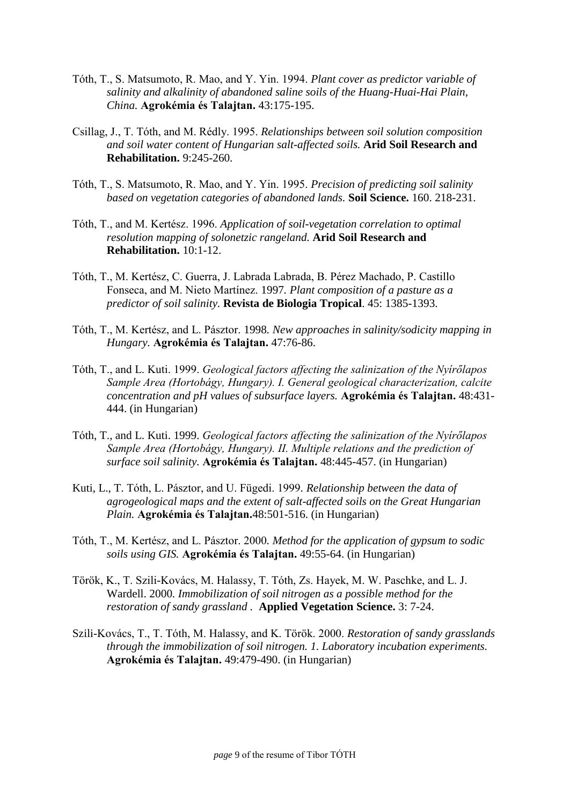- Tóth, T., S. Matsumoto, R. Mao, and Y. Yin. 1994. *Plant cover as predictor variable of salinity and alkalinity of abandoned saline soils of the Huang-Huai-Hai Plain, China.* **Agrokémia és Talajtan.** 43:175-195.
- Csillag, J., T. Tóth, and M. Rédly. 1995. *Relationships between soil solution composition and soil water content of Hungarian salt-affected soils.* **Arid Soil Research and Rehabilitation.** 9:245-260.
- Tóth, T., S. Matsumoto, R. Mao, and Y. Yin. 1995. *Precision of predicting soil salinity based on vegetation categories of abandoned lands.* **Soil Science.** 160. 218-231.
- Tóth, T., and M. Kertész. 1996. *Application of soil-vegetation correlation to optimal resolution mapping of solonetzic rangeland.* **Arid Soil Research and Rehabilitation.** 10:1-12.
- Tóth, T., M. Kertész, C. Guerra, J. Labrada Labrada, B. Pérez Machado, P. Castillo Fonseca, and M. Nieto Martínez. 1997*. Plant composition of a pasture as a predictor of soil salinity.* **Revista de Biologia Tropical**. 45: 1385-1393.
- Tóth, T., M. Kertész, and L. Pásztor. 1998*. New approaches in salinity/sodicity mapping in Hungary.* **Agrokémia és Talajtan.** 47:76-86.
- Tóth, T., and L. Kuti. 1999. *Geological factors affecting the salinization of the Nyírőlapos Sample Area (Hortobágy, Hungary). I. General geological characterization, calcite concentration and pH values of subsurface layers.* **Agrokémia és Talajtan.** 48:431- 444. (in Hungarian)
- Tóth, T., and L. Kuti. 1999. *Geological factors affecting the salinization of the Nyírőlapos Sample Area (Hortobágy, Hungary). II. Multiple relations and the prediction of surface soil salinity.* **Agrokémia és Talajtan.** 48:445-457. (in Hungarian)
- Kuti, L., T. Tóth, L. Pásztor, and U. Fügedi. 1999*. Relationship between the data of agrogeological maps and the extent of salt-affected soils on the Great Hungarian Plain.* **Agrokémia és Talajtan.**48:501-516. (in Hungarian)
- Tóth, T., M. Kertész, and L. Pásztor. 2000*. Method for the application of gypsum to sodic soils using GIS.* **Agrokémia és Talajtan.** 49:55-64. (in Hungarian)
- Török, K., T. Szili-Kovács, M. Halassy, T. Tóth, Zs. Hayek, M. W. Paschke, and L. J. Wardell. 2000*. Immobilization of soil nitrogen as a possible method for the restoration of sandy grassland .* **Applied Vegetation Science.** 3: 7-24.
- Szili-Kovács, T., T. Tóth, M. Halassy, and K. Török. 2000. *Restoration of sandy grasslands through the immobilization of soil nitrogen. 1. Laboratory incubation experiments.* **Agrokémia és Talajtan.** 49:479-490. (in Hungarian)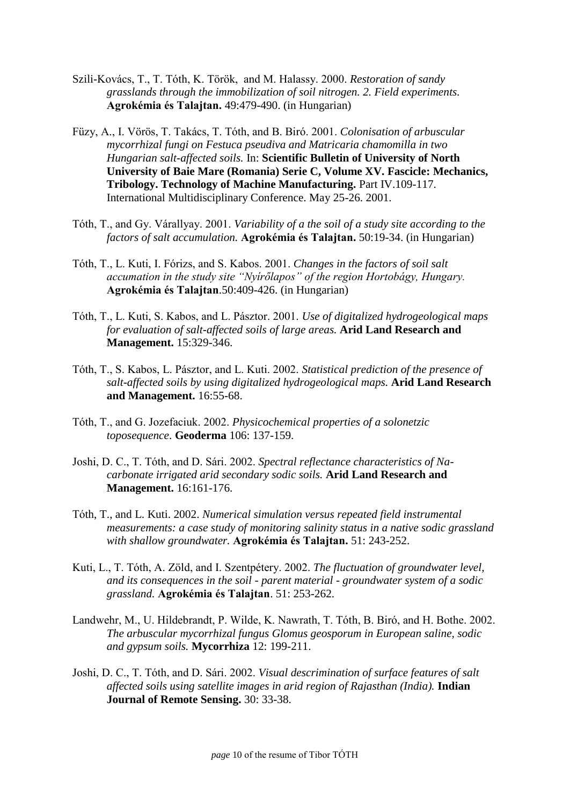- Szili-Kovács, T., T. Tóth, K. Török, and M. Halassy. 2000. *Restoration of sandy grasslands through the immobilization of soil nitrogen. 2. Field experiments.*  **Agrokémia és Talajtan.** 49:479-490. (in Hungarian)
- Füzy, A., I. Vörös, T. Takács, T. Tóth, and B. Biró. 2001. *Colonisation of arbuscular mycorrhizal fungi on Festuca pseudiva and Matricaria chamomilla in two Hungarian salt-affected soils.* In: **Scientific Bulletin of University of North University of Baie Mare (Romania) Serie C, Volume XV. Fascicle: Mechanics, Tribology. Technology of Machine Manufacturing.** Part IV.109-117. International Multidisciplinary Conference. May 25-26. 2001.
- Tóth, T., and Gy. Várallyay. 2001. *Variability of a the soil of a study site according to the factors of salt accumulation.* **Agrokémia és Talajtan.** 50:19-34. (in Hungarian)
- Tóth, T., L. Kuti, I. Fórizs, and S. Kabos. 2001. *Changes in the factors of soil salt accumation in the study site "Nyírőlapos" of the region Hortobágy, Hungary.* **Agrokémia és Talajtan**.50:409-426. (in Hungarian)
- Tóth, T., L. Kuti, S. Kabos, and L. Pásztor. 2001. *Use of digitalized hydrogeological maps for evaluation of salt-affected soils of large areas.* **Arid Land Research and Management.** 15:329-346.
- Tóth, T., S. Kabos, L. Pásztor, and L. Kuti. 2002. *Statistical prediction of the presence of salt-affected soils by using digitalized hydrogeological maps.* **Arid Land Research and Management.** 16:55-68.
- Tóth, T., and G. Jozefaciuk. 2002. *Physicochemical properties of a solonetzic toposequence*. **Geoderma** 106: 137-159.
- Joshi, D. C., T. Tóth, and D. Sári. 2002. *Spectral reflectance characteristics of Nacarbonate irrigated arid secondary sodic soils.* **Arid Land Research and Management.** 16:161-176.
- Tóth, T., and L. Kuti. 2002. *Numerical simulation versus repeated field instrumental measurements: a case study of monitoring salinity status in a native sodic grassland with shallow groundwater.* **Agrokémia és Talajtan.** 51: 243-252.
- Kuti, L., T. Tóth, A. Zöld, and I. Szentpétery. 2002. *The fluctuation of groundwater level, and its consequences in the soil - parent material - groundwater system of a sodic grassland.* **Agrokémia és Talajtan**. 51: 253-262.
- Landwehr, M., U. Hildebrandt, P. Wilde, K. Nawrath, T. Tóth, B. Biró, and H. Bothe. 2002. *The arbuscular mycorrhizal fungus Glomus geosporum in European saline, sodic and gypsum soils.* **Mycorrhiza** 12: 199-211.
- Joshi, D. C., T. Tóth, and D. Sári. 2002. *Visual descrimination of surface features of salt affected soils using satellite images in arid region of Rajasthan (India).* **Indian Journal of Remote Sensing.** 30: 33-38.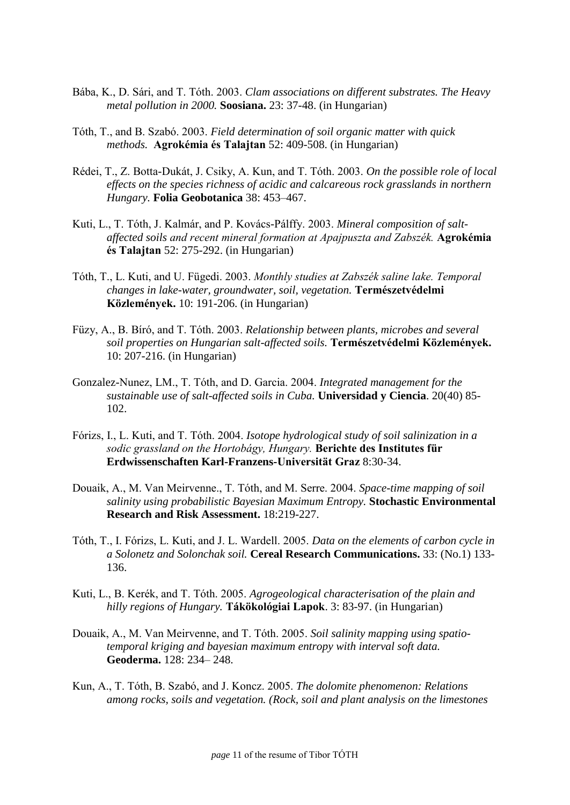- Bába, K., D. Sári, and T. Tóth. 2003. *Clam associations on different substrates. The Heavy metal pollution in 2000.* **Soosiana.** 23: 37-48. (in Hungarian)
- Tóth, T., and B. Szabó. 2003. *Field determination of soil organic matter with quick methods.* **Agrokémia és Talajtan** 52: 409-508. (in Hungarian)
- Rédei, T., Z. Botta-Dukát, J. Csiky, A. Kun, and T. Tóth. 2003. *On the possible role of local effects on the species richness of acidic and calcareous rock grasslands in northern Hungary.* **Folia Geobotanica** 38: 453–467.
- Kuti, L., T. Tóth, J. Kalmár, and P. Kovács-Pálffy. 2003. *Mineral composition of saltaffected soils and recent mineral formation at Apajpuszta and Zabszék.* **Agrokémia és Talajtan** 52: 275-292. (in Hungarian)
- Tóth, T., L. Kuti, and U. Fügedi. 2003. *Monthly studies at Zabszék saline lake. Temporal changes in lake-water, groundwater, soil, vegetation.* **Természetvédelmi Közlemények.** 10: 191-206. (in Hungarian)
- Füzy, A., B. Bíró, and T. Tóth. 2003. *Relationship between plants, microbes and several soil properties on Hungarian salt-affected soils.* **Természetvédelmi Közlemények.** 10: 207-216. (in Hungarian)
- Gonzalez-Nunez, LM., T. Tóth, and D. Garcia. 2004. *Integrated management for the sustainable use of salt-affected soils in Cuba.* **Universidad y Ciencia**. 20(40) 85- 102.
- Fórizs, I., L. Kuti, and T. Tóth. 2004. *Isotope hydrological study of soil salinization in a sodic grassland on the Hortobágy, Hungary.* **Berichte des Institutes für Erdwissenschaften Karl-Franzens-Universität Graz** 8:30-34.
- Douaik, A., M. Van Meirvenne., T. Tóth, and M. Serre. 2004. *Space-time mapping of soil salinity using probabilistic Bayesian Maximum Entropy.* **Stochastic Environmental Research and Risk Assessment.** 18:219-227.
- Tóth, T., I. Fórizs, L. Kuti, and J. L. Wardell. 2005. *Data on the elements of carbon cycle in a Solonetz and Solonchak soil.* **Cereal Research Communications.** 33: (No.1) 133- 136.
- Kuti, L., B. Kerék, and T. Tóth. 2005. *Agrogeological characterisation of the plain and hilly regions of Hungary.* **Tákökológiai Lapok**. 3: 83-97. (in Hungarian)
- Douaik, A., M. Van Meirvenne, and T. Tóth. 2005. *Soil salinity mapping using spatiotemporal kriging and bayesian maximum entropy with interval soft data.* **Geoderma.** 128: 234– 248.
- Kun, A., T. Tóth, B. Szabó, and J. Koncz. 2005. *The dolomite phenomenon: Relations among rocks, soils and vegetation. (Rock, soil and plant analysis on the limestones*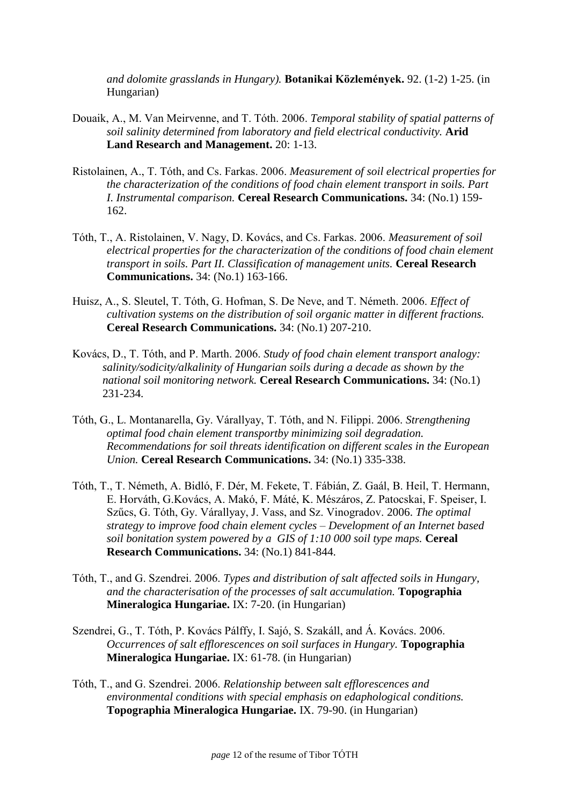*and dolomite grasslands in Hungary).* **Botanikai Közlemények.** 92. (1-2) 1-25. (in Hungarian)

- Douaik, A., M. Van Meirvenne, and T. Tóth. 2006. *Temporal stability of spatial patterns of soil salinity determined from laboratory and field electrical conductivity.* **Arid Land Research and Management.** 20: 1-13.
- Ristolainen, A., T. Tóth, and Cs. Farkas. 2006. *Measurement of soil electrical properties for the characterization of the conditions of food chain element transport in soils. Part I. Instrumental comparison.* **Cereal Research Communications.** 34: (No.1) 159- 162.
- Tóth, T., A. Ristolainen, V. Nagy, D. Kovács, and Cs. Farkas. 2006. *Measurement of soil electrical properties for the characterization of the conditions of food chain element transport in soils. Part II. Classification of management units.* **Cereal Research Communications.** 34: (No.1) 163-166.
- Huisz, A., S. Sleutel, T. Tóth, G. Hofman, S. De Neve, and T. Németh. 2006. *Effect of cultivation systems on the distribution of soil organic matter in different fractions.*  **Cereal Research Communications.** 34: (No.1) 207-210.
- Kovács, D., T. Tóth, and P. Marth. 2006. *Study of food chain element transport analogy: salinity/sodicity/alkalinity of Hungarian soils during a decade as shown by the national soil monitoring network.* **Cereal Research Communications.** 34: (No.1) 231-234.
- Tóth, G., L. Montanarella, Gy. Várallyay, T. Tóth, and N. Filippi. 2006. *Strengthening optimal food chain element transportby minimizing soil degradation. Recommendations for soil threats identification on different scales in the European Union.* **Cereal Research Communications.** 34: (No.1) 335-338.
- Tóth, T., T. Németh, A. Bidló, F. Dér, M. Fekete, T. Fábián, Z. Gaál, B. Heil, T. Hermann, E. Horváth, G.Kovács, A. Makó, F. Máté, K. Mészáros, Z. Patocskai, F. Speiser, I. Szűcs, G. Tóth, Gy. Várallyay, J. Vass, and Sz. Vinogradov. 2006. *The optimal strategy to improve food chain element cycles – Development of an Internet based soil bonitation system powered by a GIS of 1:10 000 soil type maps.* **Cereal Research Communications.** 34: (No.1) 841-844.
- Tóth, T., and G. Szendrei. 2006. *Types and distribution of salt affected soils in Hungary, and the characterisation of the processes of salt accumulation.* **Topographia Mineralogica Hungariae.** IX: 7-20. (in Hungarian)
- Szendrei, G., T. Tóth, P. Kovács Pálffy, I. Sajó, S. Szakáll, and Á. Kovács. 2006. *Occurrences of salt efflorescences on soil surfaces in Hungary.* **Topographia Mineralogica Hungariae.** IX: 61-78. (in Hungarian)
- Tóth, T., and G. Szendrei. 2006. *Relationship between salt efflorescences and environmental conditions with special emphasis on edaphological conditions.* **Topographia Mineralogica Hungariae.** IX. 79-90. (in Hungarian)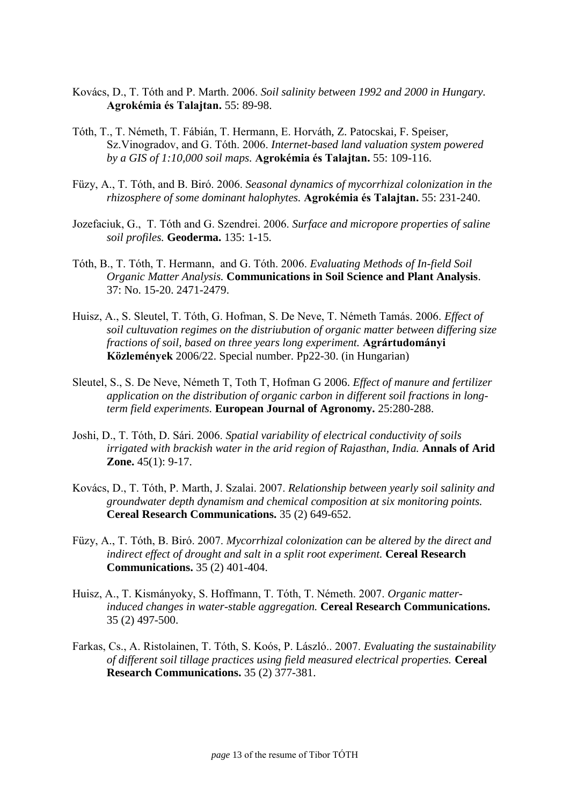- Kovács, D., T. Tóth and P. Marth. 2006. *Soil salinity between 1992 and 2000 in Hungary.* **Agrokémia és Talajtan.** 55: 89-98.
- Tóth, T., T. Németh, T. Fábián, T. Hermann, E. Horváth, Z. Patocskai, F. Speiser, Sz.Vinogradov, and G. Tóth. 2006. *Internet-based land valuation system powered by a GIS of 1:10,000 soil maps.* **Agrokémia és Talajtan.** 55: 109-116.
- Füzy, A., T. Tóth, and B. Biró. 2006. *Seasonal dynamics of mycorrhizal colonization in the rhizosphere of some dominant halophytes.* **Agrokémia és Talajtan.** 55: 231-240.
- Jozefaciuk, G., T. Tóth and G. Szendrei. 2006. *Surface and micropore properties of saline soil profiles.* **Geoderma.** 135: 1-15.
- Tóth, B., T. Tóth, T. Hermann, and G. Tóth. 2006. *Evaluating Methods of In-field Soil Organic Matter Analysis.* **Communications in Soil Science and Plant Analysis**. 37: No. 15-20. 2471-2479.
- Huisz, A., S. Sleutel, T. Tóth, G. Hofman, S. De Neve, T. Németh Tamás. 2006. *Effect of soil cultuvation regimes on the distriubution of organic matter between differing size fractions of soil, based on three years long experiment.* **Agrártudományi Közlemények** 2006/22. Special number. Pp22-30. (in Hungarian)
- Sleutel, S., S. De Neve, Németh T, Toth T, Hofman G 2006. *Effect of manure and fertilizer application on the distribution of organic carbon in different soil fractions in longterm field experiments.* **European Journal of Agronomy.** 25:280-288.
- Joshi, D., T. Tóth, D. Sári. 2006. *Spatial variability of electrical conductivity of soils irrigated with brackish water in the arid region of Rajasthan, India.* Annals of Arid **Zone.** 45(1): 9-17.
- Kovács, D., T. Tóth, P. Marth, J. Szalai. 2007. *Relationship between yearly soil salinity and groundwater depth dynamism and chemical composition at six monitoring points.* **Cereal Research Communications.** 35 (2) 649-652.
- Füzy, A., T. Tóth, B. Biró. 2007. *Mycorrhizal colonization can be altered by the direct and indirect effect of drought and salt in a split root experiment.* **Cereal Research Communications.** 35 (2) 401-404.
- Huisz, A., T. Kismányoky, S. Hoffmann, T. Tóth, T. Németh. 2007. *Organic matterinduced changes in water-stable aggregation.* **Cereal Research Communications.** 35 (2) 497-500.
- Farkas, Cs., A. Ristolainen, T. Tóth, S. Koós, P. László.. 2007. *Evaluating the sustainability of different soil tillage practices using field measured electrical properties.* **Cereal Research Communications.** 35 (2) 377-381.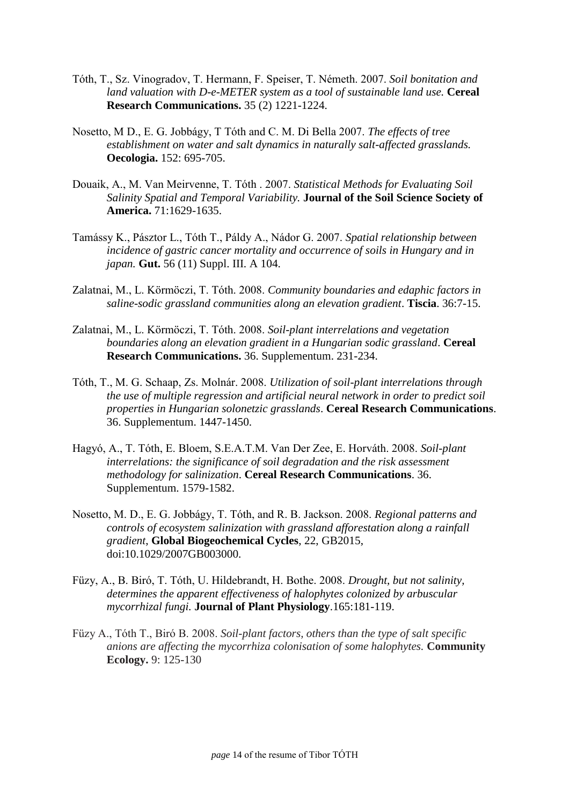- Tóth, T., Sz. Vinogradov, T. Hermann, F. Speiser, T. Németh. 2007. *Soil bonitation and land valuation with D-e-METER system as a tool of sustainable land use.* Cereal **Research Communications.** 35 (2) 1221-1224.
- Nosetto, M D., E. G. Jobbágy, T Tóth and C. M. Di Bella 2007. *The effects of tree establishment on water and salt dynamics in naturally salt-affected grasslands.*  **Oecologia.** 152: 695-705.
- Douaik, A., M. Van Meirvenne, T. Tóth . 2007. *Statistical Methods for Evaluating Soil Salinity Spatial and Temporal Variability.* **Journal of the Soil Science Society of America.** 71:1629-1635.
- Tamássy K., Pásztor L., Tóth T., Páldy A., Nádor G. 2007. *Spatial relationship between incidence of gastric cancer mortality and occurrence of soils in Hungary and in japan.* **Gut.** 56 (11) Suppl. III. A 104.
- Zalatnai, M., L. Körmöczi, T. Tóth. 2008. *Community boundaries and edaphic factors in saline-sodic grassland communities along an elevation gradient*. **Tiscia**. 36:7-15.
- Zalatnai, M., L. Körmöczi, T. Tóth. 2008. *Soil-plant interrelations and vegetation boundaries along an elevation gradient in a Hungarian sodic grassland*. **Cereal Research Communications.** 36. Supplementum. 231-234.
- Tóth, T., M. G. Schaap, Zs. Molnár. 2008. *Utilization of soil-plant interrelations through the use of multiple regression and artificial neural network in order to predict soil properties in Hungarian solonetzic grasslands*. **Cereal Research Communications**. 36. Supplementum. 1447-1450.
- Hagyó, A., T. Tóth, E. Bloem, S.E.A.T.M. Van Der Zee, E. Horváth. 2008. *Soil-plant interrelations: the significance of soil degradation and the risk assessment methodology for salinization*. **Cereal Research Communications**. 36. Supplementum. 1579-1582.
- Nosetto, M. D., E. G. Jobbágy, T. Tóth, and R. B. Jackson. 2008. *Regional patterns and controls of ecosystem salinization with grassland afforestation along a rainfall gradient*, **Global Biogeochemical Cycles**, 22, GB2015, doi:10.1029/2007GB003000.
- Füzy, A., B. Biró, T. Tóth, U. Hildebrandt, H. Bothe. 2008. *Drought, but not salinity, determines the apparent effectiveness of halophytes colonized by arbuscular mycorrhizal fungi.* **Journal of Plant Physiology**.165:181-119.
- Füzy A., Tóth T., Biró B. 2008. *Soil-plant factors, others than the type of salt specific anions are affecting the mycorrhiza colonisation of some halophytes.* **Community Ecology.** 9: 125-130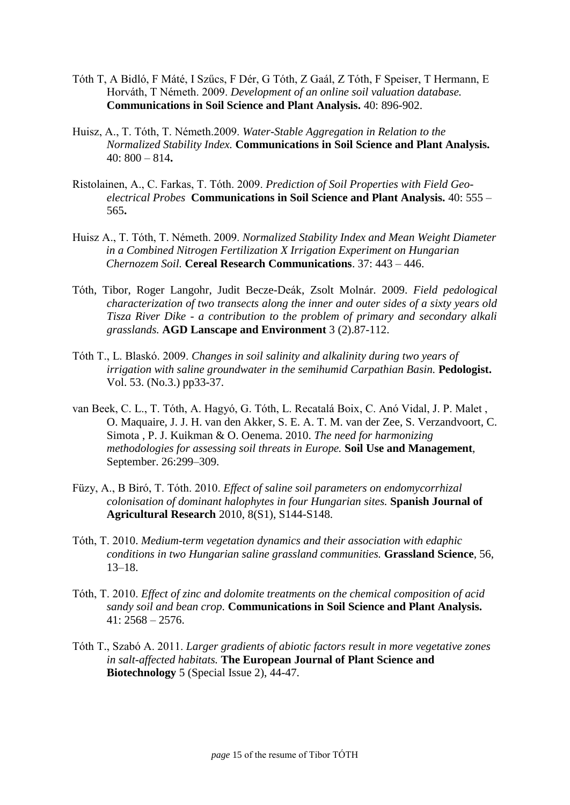- Tóth T, A Bidló, F Máté, I Szűcs, F Dér, G Tóth, Z Gaál, Z Tóth, F Speiser, T Hermann, E Horváth, T Németh. 2009. *Development of an online soil valuation database.* **Communications in Soil Science and Plant Analysis.** 40: 896-902.
- Huisz, A., T. Tóth, T. Németh.2009. *Water-Stable Aggregation in Relation to the Normalized Stability Index.* **Communications in Soil Science and Plant Analysis.**  [40:](http://www.informaworld.com/smpp/title~content=t713597241~db=all~tab=issueslist~branches=40#v40) 800 – 814**.**
- Ristolainen, A., C. Farkas, T. Tóth. 2009. *[Prediction of Soil Properties with Field Geo](http://www.informaworld.com/smpp/content~content=a909555376~db=all~order=page)[electrical Probes](http://www.informaworld.com/smpp/content~content=a909555376~db=all~order=page)* **Communications in Soil Science and Plant Analysis.** 40: [555 –](http://www.informaworld.com/smpp/content~content=a909555376~db=all~order=page) [565](http://www.informaworld.com/smpp/content~content=a909555376~db=all~order=page)**.**
- Huisz A., T. Tóth, T. Németh. 2009. *Normalized Stability Index and Mean Weight Diameter in a Combined Nitrogen Fertilization X Irrigation Experiment on Hungarian Chernozem Soil.* **Cereal Research Communications**. 37: 443 – 446.
- Tóth, Tibor, Roger Langohr, Judit Becze-Deák, Zsolt Molnár. 2009. *Field pedological characterization of two transects along the inner and outer sides of a sixty years old Tisza River Dike - a contribution to the problem of primary and secondary alkali grasslands.* **AGD Lanscape and Environment** 3 (2).87-112.
- Tóth T., L. Blaskó. 2009. *Changes in soil salinity and alkalinity during two years of irrigation with saline groundwater in the semihumid Carpathian Basin.* **Pedologist.** Vol. 53. (No.3.) pp33-37.
- van Beek, C. L., T. Tóth, A. Hagyó, G. Tóth, L. Recatalá Boix, C. Anó Vidal, J. P. Malet , O. Maquaire, J. J. H. van den Akker, S. E. A. T. M. van der Zee, S. Verzandvoort, C. Simota , P. J. Kuikman & O. Oenema. 2010. *The need for harmonizing methodologies for assessing soil threats in Europe.* **Soil Use and Management**, September. 26:299–309.
- Füzy, A., B Biró, T. Tóth. 2010. *Effect of saline soil parameters on endomycorrhizal colonisation of dominant halophytes in four Hungarian sites.* **Spanish Journal of Agricultural Research** 2010, 8(S1), S144-S148.
- Tóth, T. 2010. *Medium-term vegetation dynamics and their association with edaphic conditions in two Hungarian saline grassland communities.* **Grassland Science**, 56, 13–18.
- Tóth, T. 2010. *[Effect of zinc and dolomite treatments on the chemical composition of acid](http://www.informaworld.com/smpp/content~db=all~content=a929809339~frm=titlelink)  [sandy soil and bean crop.](http://www.informaworld.com/smpp/content~db=all~content=a929809339~frm=titlelink)* **Communications in Soil Science and Plant Analysis.**  $41: 2568 - 2576.$
- Tóth T., Szabó A. 2011. *Larger gradients of abiotic factors result in more vegetative zones in salt-affected habitats.* **The European Journal of Plant Science and Biotechnology** 5 (Special Issue 2), 44-47.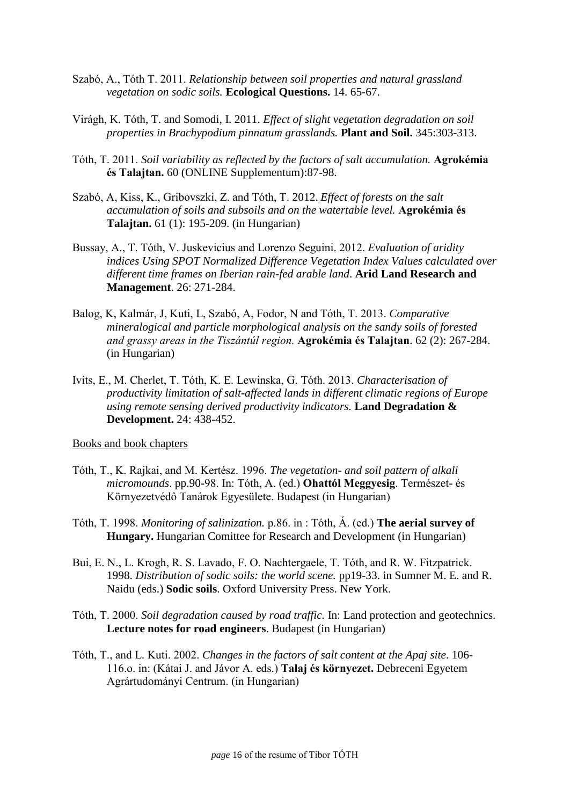- Szabó, A., Tóth T. 2011. *Relationship between soil properties and natural grassland vegetation on sodic soils.* **Ecological Questions.** 14. 65-67.
- [Virágh,](http://www.springerlink.com/content/?Author=Kl%c3%a1ra+Vir%c3%a1gh) K. [Tóth,](http://www.springerlink.com/content/?Author=Tibor+T%c3%b3th) T. and Somodi, I. 2011. *Effect of slight vegetation degradation on soil properties in Brachypodium pinnatum grasslands.* **[Plant and Soil.](http://www.springerlink.com/content/0032-079x/)** 345:303-313.
- Tóth, T. 2011. *Soil variability as reflected by the factors of salt accumulation.* **Agrokémia és Talajtan.** 60 (ONLINE Supplementum):87-98.
- [Szabó,](http://akademiai.com/content/?Author=Andr%c3%a1s+Szab%c3%b3) A, Kiss, K., Gribovszki, Z. and Tóth, T. 2012. *Effect of forests on the salt accumulation of soils and subsoils and on the watertable level.* **Agrokémia és Talajtan.** 61 (1): 195-209. (in Hungarian)
- Bussay, A., T. Tóth, V. Juskevicius and Lorenzo Seguini. 2012. *Evaluation of aridity indices Using SPOT Normalized Difference Vegetation Index Values calculated over different time frames on Iberian rain-fed arable land*. **Arid Land Research and Management**. 26: 271-284.
- Balog, K, Kalmár, J, Kuti, L, Szabó, A, Fodor, N and Tóth, T. 2013. *Comparative mineralogical and particle morphological analysis on the sandy soils of forested and grassy areas in the Tiszántúl region.* **Agrokémia és Talajtan**. 62 (2): 267-284. (in Hungarian)
- Ivits, E., M. Cherlet, T. Tóth, K. E. Lewinska, G. Tóth. 2013. *Characterisation of productivity limitation of salt-affected lands in different climatic regions of Europe using remote sensing derived productivity indicators.* **Land Degradation & Development.** 24: 438-452.

Books and book chapters

- Tóth, T., K. Rajkai, and M. Kertész. 1996. *The vegetation- and soil pattern of alkali micromounds*. pp.90-98. In: Tóth, A. (ed.) **Ohattól Meggyesig**. Természet- és Környezetvédô Tanárok Egyesülete. Budapest (in Hungarian)
- Tóth, T. 1998. *Monitoring of salinization.* p.86. in : Tóth, Á. (ed.) **The aerial survey of Hungary.** Hungarian Comittee for Research and Development (in Hungarian)
- Bui, E. N., L. Krogh, R. S. Lavado, F. O. Nachtergaele, T. Tóth, and R. W. Fitzpatrick. 1998. *Distribution of sodic soils: the world scene.* pp19-33. in Sumner M. E. and R. Naidu (eds.) **Sodic soils**. Oxford University Press. New York.
- Tóth, T. 2000. *Soil degradation caused by road traffic.* In: Land protection and geotechnics. **Lecture notes for road engineers**. Budapest (in Hungarian)
- Tóth, T., and L. Kuti. 2002. *Changes in the factors of salt content at the Apaj site*. 106- 116.o. in: (Kátai J. and Jávor A. eds.) **Talaj és környezet.** Debreceni Egyetem Agrártudományi Centrum. (in Hungarian)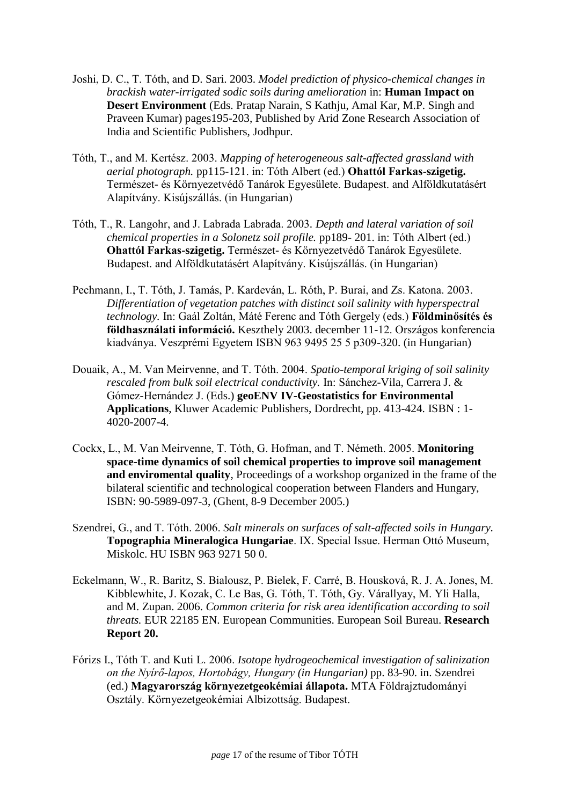- Joshi, D. C., T. Tóth, and D. Sari. 2003. *Model prediction of physico-chemical changes in brackish water-irrigated sodic soils during amelioration* in: **Human Impact on Desert Environment** (Eds. Pratap Narain, S Kathju, Amal Kar, M.P. Singh and Praveen Kumar) pages195-203, Published by Arid Zone Research Association of India and Scientific Publishers, Jodhpur.
- Tóth, T., and M. Kertész. 2003. *Mapping of heterogeneous salt-affected grassland with aerial photograph.* pp115-121. in: Tóth Albert (ed.) **Ohattól Farkas-szigetig.** Természet- és Környezetvédő Tanárok Egyesülete. Budapest. and Alföldkutatásért Alapítvány. Kisújszállás. (in Hungarian)
- Tóth, T., R. Langohr, and J. Labrada Labrada. 2003*. Depth and lateral variation of soil chemical properties in a Solonetz soil profile.* pp189- 201. in: Tóth Albert (ed.) **Ohattól Farkas-szigetig.** Természet- és Környezetvédő Tanárok Egyesülete. Budapest. and Alföldkutatásért Alapítvány. Kisújszállás. (in Hungarian)
- Pechmann, I., T. Tóth, J. Tamás, P. Kardeván, L. Róth, P. Burai, and Zs. Katona. 2003. *Differentiation of vegetation patches with distinct soil salinity with hyperspectral technology.* In: Gaál Zoltán, Máté Ferenc and Tóth Gergely (eds.) **Földminősítés és földhasználati információ.** Keszthely 2003. december 11-12. Országos konferencia kiadványa. Veszprémi Egyetem ISBN 963 9495 25 5 p309-320. (in Hungarian)
- Douaik, A., M. Van Meirvenne, and T. Tóth. 2004. *Spatio-temporal kriging of soil salinity rescaled from bulk soil electrical conductivity.* In: Sánchez-Vila, Carrera J. & Gómez-Hernández J. (Eds.) **geoENV IV-Geostatistics for Environmental Applications**, Kluwer Academic Publishers, Dordrecht, pp. 413-424. ISBN : 1- 4020-2007-4.
- Cockx, L., M. Van Meirvenne, T. Tóth, G. Hofman, and T. Németh. 2005. **Monitoring space-time dynamics of soil chemical properties to improve soil management and enviromental quality**, Proceedings of a workshop organized in the frame of the bilateral scientific and technological cooperation between Flanders and Hungary, ISBN: 90-5989-097-3, (Ghent, 8-9 December 2005.)
- Szendrei, G., and T. Tóth. 2006. *Salt minerals on surfaces of salt-affected soils in Hungary.*  **Topographia Mineralogica Hungariae**. IX. Special Issue. Herman Ottó Museum, Miskolc. HU ISBN 963 9271 50 0.
- Eckelmann, W., R. Baritz, S. Bialousz, P. Bielek, F. Carré, B. Housková, R. J. A. Jones, M. Kibblewhite, J. Kozak, C. Le Bas, G. Tóth, T. Tóth, Gy. Várallyay, M. Yli Halla, and M. Zupan. 2006. *Common criteria for risk area identification according to soil threats.* EUR 22185 EN. European Communities. European Soil Bureau. **Research Report 20.**
- Fórizs I., Tóth T. and Kuti L. 2006. *Isotope hydrogeochemical investigation of salinization on the Nyírő-lapos, Hortobágy, Hungary (in Hungarian)* pp. 83-90. in. Szendrei (ed.) **Magyarország környezetgeokémiai állapota.** MTA Földrajztudományi Osztály. Környezetgeokémiai Albizottság. Budapest.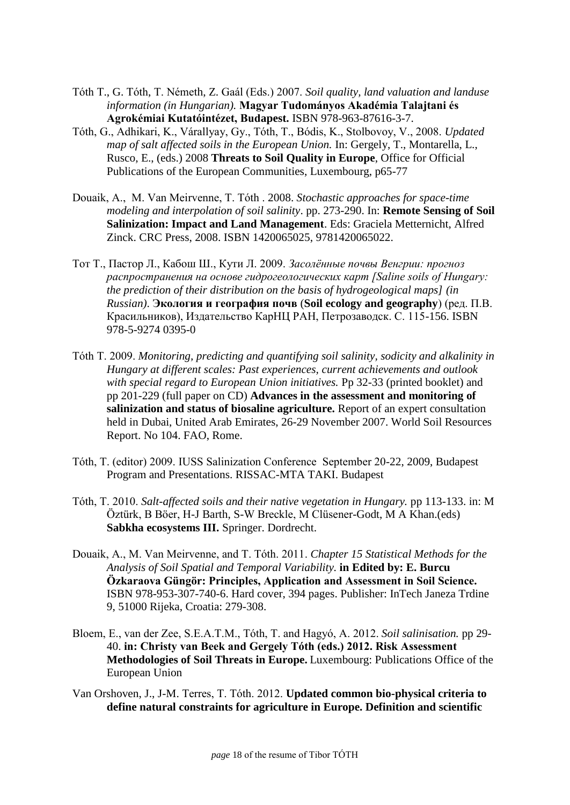- Tóth T., G. Tóth, T. Németh, Z. Gaál (Eds.) 2007. *Soil quality, land valuation and landuse information (in Hungarian).* **Magyar Tudományos Akadémia Talajtani és Agrokémiai Kutatóintézet, Budapest.** ISBN 978-963-87616-3-7.
- Tóth, G., Adhikari, K., Várallyay, Gy., Tóth, T., Bódis, K., Stolbovoy, V., 2008. *Updated map of salt affected soils in the European Union.* In: Gergely, T., Montarella, L., Rusco, E., (eds.) 2008 **Threats to Soil Quality in Europe**, Office for Official Publications of the European Communities, Luxembourg, p65-77
- Douaik, A., M. Van Meirvenne, T. Tóth . 2008. *Stochastic approaches for space-time modeling and interpolation of soil salinity*. pp. 273-290. In: **Remote Sensing of Soil Salinization: Impact and Land Management**. Eds: Graciela Metternicht, Alfred Zinck. CRC Press, 2008. ISBN 1420065025, 9781420065022.
- Тот Т., Пастор Л., Кабош Ш., Кути Л. 2009. *Засолённые почвы Венгрии: прогноз распространения на основе гидрогеологических карт [Saline soils of Hungary: the prediction of their distribution on the basis of hydrogeological maps] (in Russian)*. **Экология и география почв** (**Soil ecology and geography**) (ред. П.В. Красильников), Издательство КарНЦ РАН, Петрозаводск. С. 115-156. ISBN 978-5-9274 0395-0
- Tóth T. 2009. *Monitoring, predicting and quantifying soil salinity, sodicity and alkalinity in Hungary at different scales: Past experiences, current achievements and outlook with special regard to European Union initiatives.* Pp 32-33 (printed booklet) and pp 201-229 (full paper on CD) **Advances in the assessment and monitoring of salinization and status of biosaline agriculture.** Report of an expert consultation held in Dubai, United Arab Emirates, 26-29 November 2007. World Soil Resources Report. No 104. FAO, Rome.
- Tóth, T. (editor) 2009. IUSS Salinization Conference September 20-22, 2009, Budapest Program and Presentations. RISSAC-MTA TAKI. Budapest
- Tóth, T. 2010. *Salt-affected soils and their native vegetation in Hungary.* pp 113-133. in: M Öztürk, B Böer, H-J Barth, S-W Breckle, M Clüsener-Godt, M A Khan.(eds) **Sabkha ecosystems III.** Springer. Dordrecht.
- Douaik, A., M. Van Meirvenne, and T. Tóth. 2011. *Chapter 15 Statistical Methods for the Analysis of Soil Spatial and Temporal Variability.* **in Edited by: E. Burcu Özkaraova Güngör: Principles, Application and Assessment in Soil Science.**  ISBN 978-953-307-740-6. Hard cover, 394 pages. Publisher: InTech Janeza Trdine 9, 51000 Rijeka, Croatia: 279-308.
- Bloem, E., van der Zee, S.E.A.T.M., Tóth, T. and Hagyó, A. 2012. *Soil salinisation.* pp 29- 40. **in: Christy van Beek and Gergely Tóth (eds.) 2012. Risk Assessment Methodologies of Soil Threats in Europe.** Luxembourg: Publications Office of the European Union
- Van Orshoven, J., J-M. Terres, T. Tóth. 2012. **Updated common bio-physical criteria to define natural constraints for agriculture in Europe. Definition and scientific**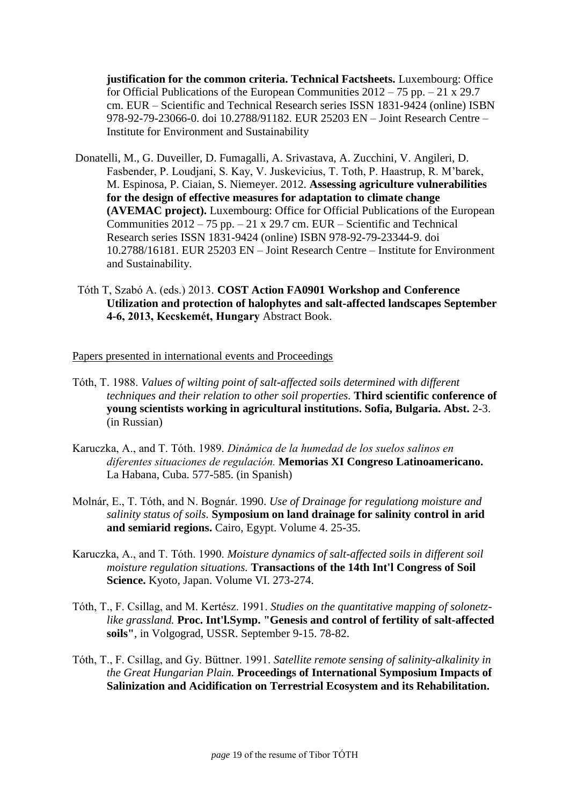**justification for the common criteria. Technical Factsheets.** Luxembourg: Office for Official Publications of the European Communities 2012 – 75 pp. – 21 x 29.7 cm. EUR – Scientific and Technical Research series ISSN 1831-9424 (online) ISBN 978-92-79-23066-0. doi 10.2788/91182. EUR 25203 EN – Joint Research Centre – Institute for Environment and Sustainability

- Donatelli, M., G. Duveiller, D. Fumagalli, A. Srivastava, A. Zucchini, V. Angileri, D. Fasbender, P. Loudjani, S. Kay, V. Juskevicius, T. Toth, P. Haastrup, R. M'barek, M. Espinosa, P. Ciaian, S. Niemeyer. 2012. **Assessing agriculture vulnerabilities for the design of effective measures for adaptation to climate change (AVEMAC project).** Luxembourg: Office for Official Publications of the European Communities  $2012 - 75$  pp.  $-21 \times 29.7$  cm. EUR – Scientific and Technical Research series ISSN 1831-9424 (online) ISBN 978-92-79-23344-9. doi 10.2788/16181. EUR 25203 EN – Joint Research Centre – Institute for Environment and Sustainability.
- Tóth T, Szabó A. (eds.) 2013. **COST Action FA0901 Workshop and Conference Utilization and protection of halophytes and salt-affected landscapes September 4-6, 2013, Kecskemét, Hungary** Abstract Book.

Papers presented in international events and Proceedings

- Tóth, T. 1988. *Values of wilting point of salt-affected soils determined with different techniques and their relation to other soil properties.* **Third scientific conference of young scientists working in agricultural institutions. Sofia, Bulgaria. Abst.** 2-3. (in Russian)
- Karuczka, A., and T. Tóth. 1989. *Dinámica de la humedad de los suelos salinos en diferentes situaciones de regulación.* **Memorias XI Congreso Latinoamericano.** La Habana, Cuba. 577-585. (in Spanish)
- Molnár, E., T. Tóth, and N. Bognár. 1990. *Use of Drainage for regulationg moisture and salinity status of soils.* **Symposium on land drainage for salinity control in arid and semiarid regions.** Cairo, Egypt. Volume 4. 25-35.
- Karuczka, A., and T. Tóth. 1990. *Moisture dynamics of salt-affected soils in different soil moisture regulation situations.* **Transactions of the 14th Int'l Congress of Soil Science.** Kyoto, Japan. Volume VI. 273-274.
- Tóth, T., F. Csillag, and M. Kertész. 1991. *Studies on the quantitative mapping of solonetzlike grassland.* **Proc. Int'l.Symp. "Genesis and control of fertility of salt-affected soils"**, in Volgograd, USSR. September 9-15. 78-82.
- Tóth, T., F. Csillag, and Gy. Büttner. 1991. *Satellite remote sensing of salinity-alkalinity in the Great Hungarian Plain.* **Proceedings of International Symposium Impacts of Salinization and Acidification on Terrestrial Ecosystem and its Rehabilitation.**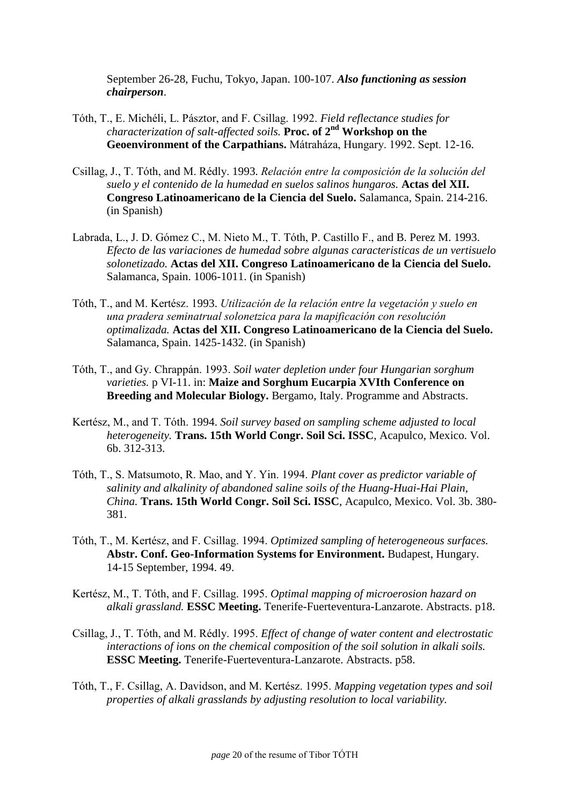September 26-28, Fuchu, Tokyo, Japan. 100-107. *Also functioning as session chairperson*.

- Tóth, T., E. Michéli, L. Pásztor, and F. Csillag. 1992. *Field reflectance studies for characterization of salt-affected soils.* **Proc. of 2nd Workshop on the Geoenvironment of the Carpathians.** Mátraháza, Hungary. 1992. Sept. 12-16.
- Csillag, J., T. Tóth, and M. Rédly. 1993. *Relación entre la composición de la solución del suelo y el contenido de la humedad en suelos salinos hungaros.* **Actas del XII. Congreso Latinoamericano de la Ciencia del Suelo.** Salamanca, Spain. 214-216. (in Spanish)
- Labrada, L., J. D. Gómez C., M. Nieto M., T. Tóth, P. Castillo F., and B. Perez M. 1993. *Efecto de las variaciones de humedad sobre algunas caracteristicas de un vertisuelo solonetizado.* **Actas del XII. Congreso Latinoamericano de la Ciencia del Suelo.** Salamanca, Spain. 1006-1011. (in Spanish)
- Tóth, T., and M. Kertész. 1993. *Utilización de la relación entre la vegetación y suelo en una pradera seminatrual solonetzica para la mapificación con resolución optimalizada.* **Actas del XII. Congreso Latinoamericano de la Ciencia del Suelo.** Salamanca, Spain. 1425-1432. (in Spanish)
- Tóth, T., and Gy. Chrappán. 1993. *Soil water depletion under four Hungarian sorghum varieties.* p VI-11. in: **Maize and Sorghum Eucarpia XVIth Conference on Breeding and Molecular Biology.** Bergamo, Italy. Programme and Abstracts.
- Kertész, M., and T. Tóth. 1994. *Soil survey based on sampling scheme adjusted to local heterogeneity.* **Trans. 15th World Congr. Soil Sci. ISSC**, Acapulco, Mexico. Vol. 6b. 312-313.
- Tóth, T., S. Matsumoto, R. Mao, and Y. Yin. 1994. *Plant cover as predictor variable of salinity and alkalinity of abandoned saline soils of the Huang-Huai-Hai Plain, China.* **Trans. 15th World Congr. Soil Sci. ISSC**, Acapulco, Mexico. Vol. 3b. 380- 381.
- Tóth, T., M. Kertész, and F. Csillag. 1994. *Optimized sampling of heterogeneous surfaces.* **Abstr. Conf. Geo-Information Systems for Environment.** Budapest, Hungary. 14-15 September, 1994. 49.
- Kertész, M., T. Tóth, and F. Csillag. 1995. *Optimal mapping of microerosion hazard on alkali grassland.* **ESSC Meeting.** Tenerife-Fuerteventura-Lanzarote. Abstracts. p18.
- Csillag, J., T. Tóth, and M. Rédly. 1995. *Effect of change of water content and electrostatic interactions of ions on the chemical composition of the soil solution in alkali soils.* **ESSC Meeting.** Tenerife-Fuerteventura-Lanzarote. Abstracts. p58.
- Tóth, T., F. Csillag, A. Davidson, and M. Kertész. 1995. *Mapping vegetation types and soil properties of alkali grasslands by adjusting resolution to local variability.*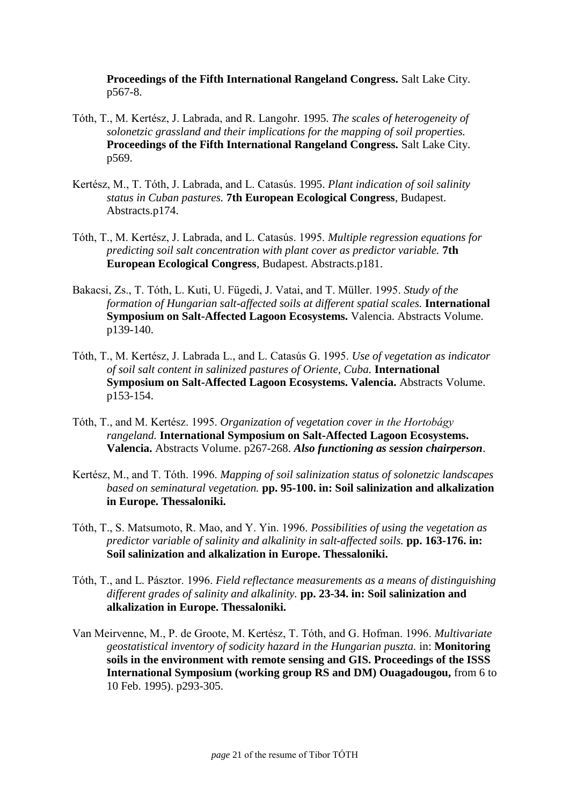**Proceedings of the Fifth International Rangeland Congress.** Salt Lake City. p567-8.

- Tóth, T., M. Kertész, J. Labrada, and R. Langohr. 1995. *The scales of heterogeneity of solonetzic grassland and their implications for the mapping of soil properties.* **Proceedings of the Fifth International Rangeland Congress.** Salt Lake City. p569.
- Kertész, M., T. Tóth, J. Labrada, and L. Catasús. 1995. *Plant indication of soil salinity status in Cuban pastures.* **7th European Ecological Congress**, Budapest. Abstracts.p174.
- Tóth, T., M. Kertész, J. Labrada, and L. Catasús. 1995. *Multiple regression equations for predicting soil salt concentration with plant cover as predictor variable.* **7th European Ecological Congress**, Budapest. Abstracts.p181.
- Bakacsi, Zs., T. Tóth, L. Kuti, U. Fügedi, J. Vatai, and T. Müller. 1995. *Study of the formation of Hungarian salt-affected soils at different spatial scales.* **International Symposium on Salt-Affected Lagoon Ecosystems.** Valencia. Abstracts Volume. p139-140.
- Tóth, T., M. Kertész, J. Labrada L., and L. Catasús G. 1995. *Use of vegetation as indicator of soil salt content in salinized pastures of Oriente, Cuba.* **International Symposium on Salt-Affected Lagoon Ecosystems. Valencia.** Abstracts Volume. p153-154.
- Tóth, T., and M. Kertész. 1995. *Organization of vegetation cover in the Hortobágy rangeland.* **International Symposium on Salt-Affected Lagoon Ecosystems. Valencia.** Abstracts Volume. p267-268. *Also functioning as session chairperson*.
- Kertész, M., and T. Tóth. 1996. *Mapping of soil salinization status of solonetzic landscapes based on seminatural vegetation.* **pp. 95-100. in: Soil salinization and alkalization in Europe. Thessaloniki.**
- Tóth, T., S. Matsumoto, R. Mao, and Y. Yin. 1996. *Possibilities of using the vegetation as predictor variable of salinity and alkalinity in salt-affected soils.* **pp. 163-176. in: Soil salinization and alkalization in Europe. Thessaloniki.**
- Tóth, T., and L. Pásztor. 1996. *Field reflectance measurements as a means of distinguishing different grades of salinity and alkalinity.* **pp. 23-34. in: Soil salinization and alkalization in Europe. Thessaloniki.**
- Van Meirvenne, M., P. de Groote, M. Kertész, T. Tóth, and G. Hofman. 1996. *Multivariate geostatistical inventory of sodicity hazard in the Hungarian puszta.* in: **Monitoring soils in the environment with remote sensing and GIS. Proceedings of the ISSS International Symposium (working group RS and DM) Ouagadougou,** from 6 to 10 Feb. 1995). p293-305.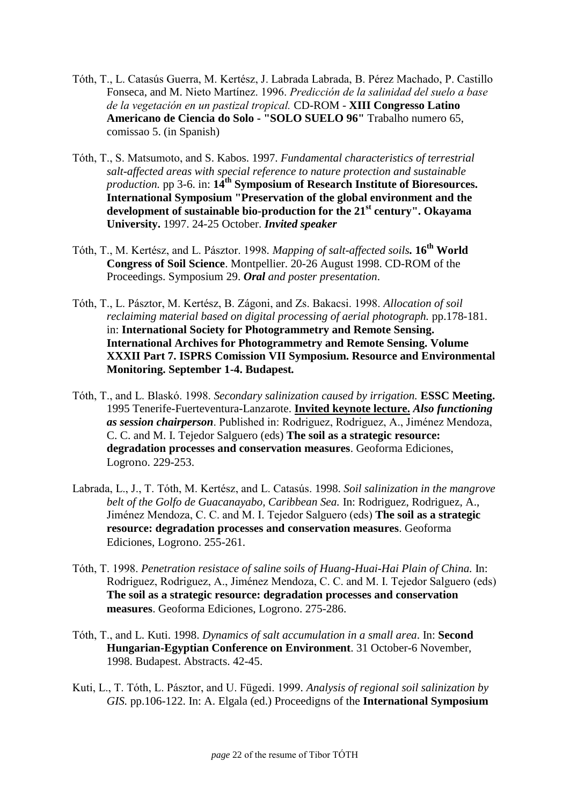- Tóth, T., L. Catasús Guerra, M. Kertész, J. Labrada Labrada, B. Pérez Machado, P. Castillo Fonseca, and M. Nieto Martínez. 1996. *Predicción de la salinidad del suelo a base de la vegetación en un pastizal tropical.* CD-ROM - **XIII Congresso Latino Americano de Ciencia do Solo - "SOLO SUELO 96"** Trabalho numero 65, comissao 5. (in Spanish)
- Tóth, T., S. Matsumoto, and S. Kabos. 1997. *Fundamental characteristics of terrestrial salt-affected areas with special reference to nature protection and sustainable production.* pp 3-6. in: **14th Symposium of Research Institute of Bioresources. International Symposium "Preservation of the global environment and the development of sustainable bio-production for the 21st century". Okayama University.** 1997. 24-25 October. *Invited speaker*
- Tóth, T., M. Kertész, and L. Pásztor. 1998*. Mapping of salt-affected soils.* **16th World Congress of Soil Science**. Montpellier. 20-26 August 1998. CD-ROM of the Proceedings. Symposium 29. *Oral and poster presentation*.
- Tóth, T., L. Pásztor, M. Kertész, B. Zágoni, and Zs. Bakacsi. 1998. *Allocation of soil reclaiming material based on digital processing of aerial photograph.* pp.178-181. in: **International Society for Photogrammetry and Remote Sensing. International Archives for Photogrammetry and Remote Sensing. Volume XXXII Part 7. ISPRS Comission VII Symposium. Resource and Environmental Monitoring. September 1-4. Budapest***.*
- Tóth, T., and L. Blaskó. 1998. *Secondary salinization caused by irrigation.* **ESSC Meeting.** 1995 Tenerife-Fuerteventura-Lanzarote. **Invited keynote lecture.** *Also functioning as session chairperson*. Published in: Rodriguez, Rodriguez, A., Jiménez Mendoza, C. C. and M. I. Tejedor Salguero (eds) **The soil as a strategic resource: degradation processes and conservation measures**. Geoforma Ediciones, Logrono. 229-253.
- Labrada, L., J., T. Tóth, M. Kertész, and L. Catasús. 1998. *Soil salinization in the mangrove belt of the Golfo de Guacanayabo, Caribbean Sea.* In: Rodriguez, Rodriguez, A., Jiménez Mendoza, C. C. and M. I. Tejedor Salguero (eds) **The soil as a strategic resource: degradation processes and conservation measures**. Geoforma Ediciones, Logrono. 255-261.
- Tóth, T. 1998. *Penetration resistace of saline soils of Huang-Huai-Hai Plain of China.* In: Rodriguez, Rodriguez, A., Jiménez Mendoza, C. C. and M. I. Tejedor Salguero (eds) **The soil as a strategic resource: degradation processes and conservation measures**. Geoforma Ediciones, Logrono. 275-286.
- Tóth, T., and L. Kuti. 1998. *Dynamics of salt accumulation in a small area*. In: **Second Hungarian-Egyptian Conference on Environment**. 31 October-6 November, 1998. Budapest. Abstracts. 42-45.
- Kuti, L., T. Tóth, L. Pásztor, and U. Fügedi. 1999*. Analysis of regional soil salinization by GIS.* pp.106-122. In: A. Elgala (ed.) Proceedigns of the **International Symposium**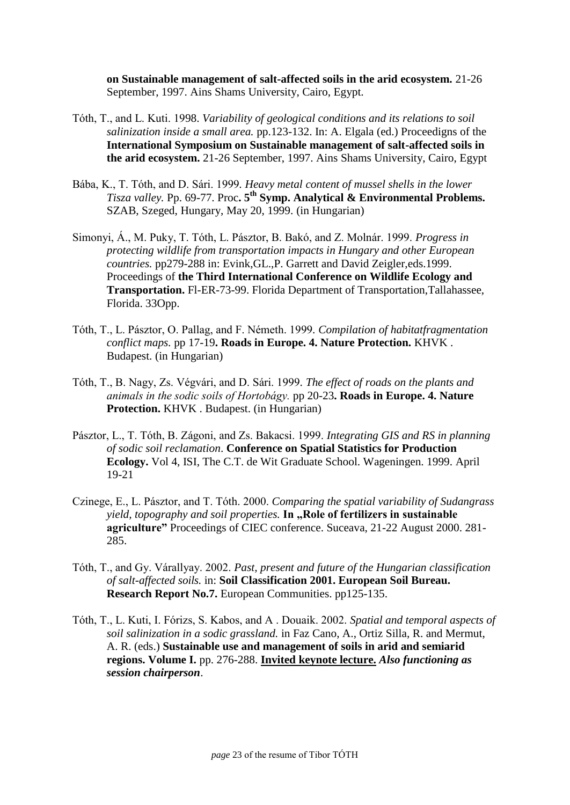**on Sustainable management of salt-affected soils in the arid ecosystem.** 21-26 September, 1997. Ains Shams University, Cairo, Egypt.

- Tóth, T., and L. Kuti. 1998. *Variability of geological conditions and its relations to soil salinization inside a small area.* pp.123-132. In: A. Elgala (ed.) Proceedigns of the **International Symposium on Sustainable management of salt-affected soils in the arid ecosystem.** 21-26 September, 1997. Ains Shams University, Cairo, Egypt
- Bába, K., T. Tóth, and D. Sári. 1999*. Heavy metal content of mussel shells in the lower Tisza valley.* Pp. 69-77. Proc**. 5th Symp. Analytical & Environmental Problems.** SZAB, Szeged, Hungary, May 20, 1999. (in Hungarian)
- Simonyi, Á., M. Puky, T. Tóth, L. Pásztor, B. Bakó, and Z. Molnár. 1999. *Progress in protecting wildlife from transportation impacts in Hungary and other European countries.* pp279-288 in: Evink,GL.,P. Garrett and David Zeigler,eds.1999. Proceedings of **the Third International Conference on Wildlife Ecology and Transportation.** Fl-ER-73-99. Florida Department of Transportation,Tallahassee, Florida. 33Opp.
- Tóth, T., L. Pásztor, O. Pallag, and F. Németh. 1999*. Compilation of habitatfragmentation conflict maps.* pp 17-19**. Roads in Europe. 4. Nature Protection.** KHVK . Budapest. (in Hungarian)
- Tóth, T., B. Nagy, Zs. Végvári, and D. Sári. 1999*. The effect of roads on the plants and animals in the sodic soils of Hortobágy.* pp 20-23**. Roads in Europe. 4. Nature Protection.** KHVK . Budapest. (in Hungarian)
- Pásztor, L., T. Tóth, B. Zágoni, and Zs. Bakacsi. 1999. *Integrating GIS and RS in planning of sodic soil reclamation*. **Conference on Spatial Statistics for Production Ecology.** Vol 4, ISI, The C.T. de Wit Graduate School. Wageningen. 1999. April 19-21
- Czinege, E., L. Pásztor, and T. Tóth. 2000. *Comparing the spatial variability of Sudangrass yield, topography and soil properties.* In "Role of fertilizers in sustainable **agriculture"** Proceedings of CIEC conference. Suceava, 21-22 August 2000. 281- 285.
- Tóth, T., and Gy. Várallyay. 2002. *Past, present and future of the Hungarian classification of salt-affected soils.* in: **Soil Classification 2001. European Soil Bureau. Research Report No.7.** European Communities. pp125-135.
- Tóth, T., L. Kuti, I. Fórizs, S. Kabos, and A . Douaik. 2002. *Spatial and temporal aspects of soil salinization in a sodic grassland.* in Faz Cano, A., Ortiz Silla, R. and Mermut, A. R. (eds.) **Sustainable use and management of soils in arid and semiarid regions. Volume I.** pp. 276-288. **Invited keynote lecture.** *Also functioning as session chairperson*.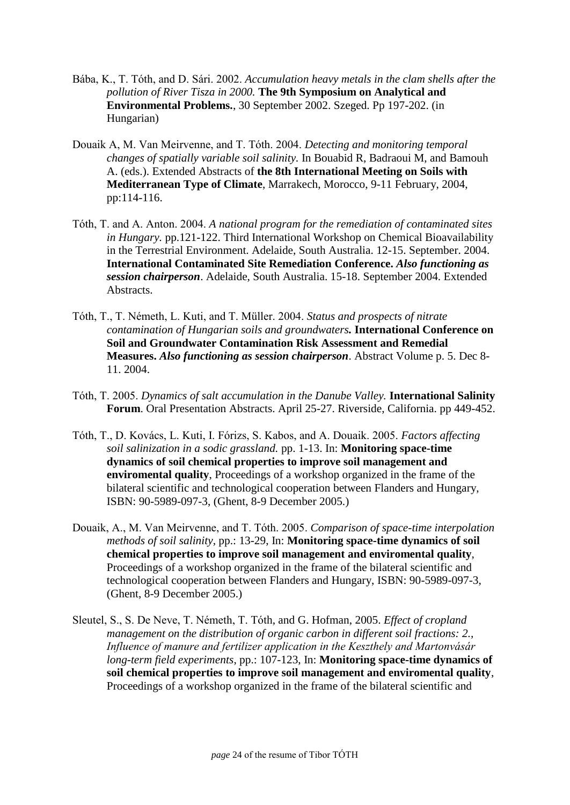- Bába, K., T. Tóth, and D. Sári. 2002. *Accumulation heavy metals in the clam shells after the pollution of River Tisza in 2000.* **The 9th Symposium on Analytical and Environmental Problems.**, 30 September 2002. Szeged. Pp 197-202. (in Hungarian)
- Douaik A, M. Van Meirvenne, and T. Tóth. 2004. *Detecting and monitoring temporal changes of spatially variable soil salinity.* In Bouabid R, Badraoui M, and Bamouh A. (eds.). Extended Abstracts of **the 8th International Meeting on Soils with Mediterranean Type of Climate**, Marrakech, Morocco, 9-11 February, 2004, pp:114-116.
- Tóth, T. and A. Anton. 2004. *A national program for the remediation of contaminated sites in Hungary.* pp.121-122. Third International Workshop on Chemical Bioavailability in the Terrestrial Environment. Adelaide, South Australia. 12-15. September. 2004. **International Contaminated Site Remediation Conference.** *Also functioning as session chairperson*. Adelaide, South Australia. 15-18. September 2004. Extended Abstracts.
- Tóth, T., T. Németh, L. Kuti, and T. Müller. 2004. *Status and prospects of nitrate contamination of Hungarian soils and groundwaters.* **International Conference on Soil and Groundwater Contamination Risk Assessment and Remedial Measures.** *Also functioning as session chairperson*. Abstract Volume p. 5. Dec 8- 11. 2004.
- Tóth, T. 2005. *Dynamics of salt accumulation in the Danube Valley.* **International Salinity Forum**. Oral Presentation Abstracts. April 25-27. Riverside, California. pp 449-452.
- Tóth, T., D. Kovács, L. Kuti, I. Fórizs, S. Kabos, and A. Douaik. 2005. *Factors affecting soil salinization in a sodic grassland.* pp. 1-13. In: **Monitoring space-time dynamics of soil chemical properties to improve soil management and enviromental quality**, Proceedings of a workshop organized in the frame of the bilateral scientific and technological cooperation between Flanders and Hungary, ISBN: 90-5989-097-3, (Ghent, 8-9 December 2005.)
- Douaik, A., M. Van Meirvenne, and T. Tóth. 2005. *Comparison of space-time interpolation methods of soil salinity,* pp.: 13-29, In: **Monitoring space-time dynamics of soil chemical properties to improve soil management and enviromental quality**, Proceedings of a workshop organized in the frame of the bilateral scientific and technological cooperation between Flanders and Hungary, ISBN: 90-5989-097-3, (Ghent, 8-9 December 2005.)
- Sleutel, S., S. De Neve, T. Németh, T. Tóth, and G. Hofman, 2005. *Effect of cropland management on the distribution of organic carbon in different soil fractions: 2., Influence of manure and fertilizer application in the Keszthely and Martonvásár long-term field experiments*, pp.: 107-123, In: **Monitoring space-time dynamics of soil chemical properties to improve soil management and enviromental quality**, Proceedings of a workshop organized in the frame of the bilateral scientific and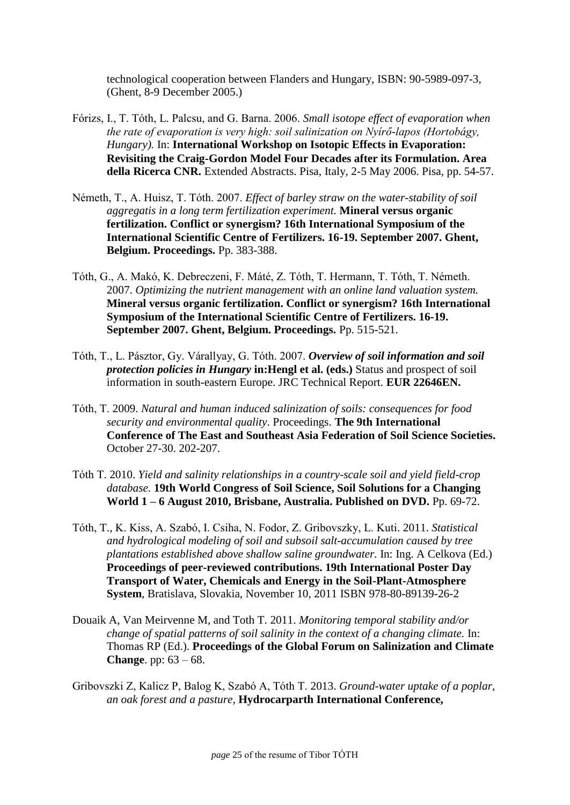technological cooperation between Flanders and Hungary, ISBN: 90-5989-097-3, (Ghent, 8-9 December 2005.)

- Fórizs, I., T. Tóth, L. Palcsu, and G. Barna. 2006. *Small isotope effect of evaporation when the rate of evaporation is very high: soil salinization on Nyírő-lapos (Hortobágy, Hungary).* In: **International Workshop on Isotopic Effects in Evaporation: Revisiting the Craig-Gordon Model Four Decades after its Formulation. Area della Ricerca CNR.** Extended Abstracts. Pisa, Italy, 2-5 May 2006. Pisa, pp. 54-57.
- Németh, T., A. Huisz, T. Tóth. 2007. *Effect of barley straw on the water-stability of soil aggregatis in a long term fertilization experiment.* **Mineral versus organic fertilization. Conflict or synergism? 16th International Symposium of the International Scientific Centre of Fertilizers. 16-19. September 2007. Ghent, Belgium. Proceedings.** Pp. 383-388.
- Tóth, G., A. Makó, K. Debreczeni, F. Máté, Z. Tóth, T. Hermann, T. Tóth, T. Németh. 2007. *Optimizing the nutrient management with an online land valuation system.* **Mineral versus organic fertilization. Conflict or synergism? 16th International Symposium of the International Scientific Centre of Fertilizers. 16-19. September 2007. Ghent, Belgium. Proceedings.** Pp. 515-521.
- Tóth, T., L. Pásztor, Gy. Várallyay, G. Tóth. 2007. *Overview of soil information and soil protection policies in Hungary* **in:Hengl et al. (eds.)** Status and prospect of soil information in south-eastern Europe. JRC Technical Report. **EUR 22646EN.**
- Tóth, T. 2009. *Natural and human induced salinization of soils: consequences for food security and environmental quality*. Proceedings. **The 9th International Conference of The East and Southeast Asia Federation of Soil Science Societies.** October 27-30. 202-207.
- Tóth T. 2010. *Yield and salinity relationships in a country-scale soil and yield field-crop database.* **19th World Congress of Soil Science, Soil Solutions for a Changing World 1 – 6 August 2010, Brisbane, Australia. Published on DVD.** Pp. 69-72.
- [Tóth, T., K. Kiss, A. Szabó, I. Csiha, N. Fodor, Z. Gribovszky, L. Kuti.](http://www.taki.iif.hu/english/soilsci/toth/Poster2011.10.11.Bratislava.pdf) 2011. *Statistical [and hydrological modeling of soil and subsoil salt-accumulation caused by tree](http://www.taki.iif.hu/english/soilsci/toth/Poster2011.10.11.Bratislava.pdf)  [plantations established above shallow saline groundwater.](http://www.taki.iif.hu/english/soilsci/toth/Poster2011.10.11.Bratislava.pdf)* In: Ing. A Celkova (Ed.) **Proceedings of peer-reviewed contributions. 19th International Poster Day Transport of Water, Chemicals and Energy in the Soil-Plant-Atmosphere System**, Bratislava, Slovakia, November 10, 2011 ISBN 978-80-89139-26-2
- Douaik A, Van Meirvenne M, and Toth T. 2011. *Monitoring temporal stability and/or change of spatial patterns of soil salinity in the context of a changing climate.* In: Thomas RP (Ed.). **Proceedings of the Global Forum on Salinization and Climate Change**. pp: 63 – 68.
- Gribovszki Z, Kalicz P, Balog K, Szabó A, Tóth T. 2013. *Ground-water uptake of a poplar, an oak forest and a pasture,* **Hydrocarparth International Conference,**